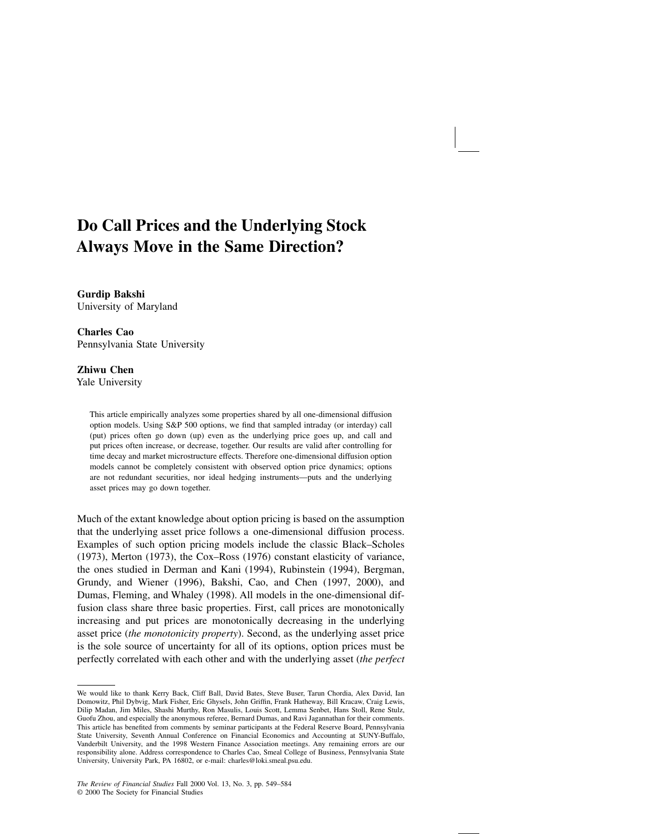# **Do Call Prices and the Underlying Stock Always Move in the Same Direction?**

## **Gurdip Bakshi**

University of Maryland

## **Charles Cao**

Pennsylvania State University

## **Zhiwu Chen**

Yale University

This article empirically analyzes some properties shared by all one-dimensional diffusion option models. Using S&P 500 options, we find that sampled intraday (or interday) call (put) prices often go down (up) even as the underlying price goes up, and call and put prices often increase, or decrease, together. Our results are valid after controlling for time decay and market microstructure effects. Therefore one-dimensional diffusion option models cannot be completely consistent with observed option price dynamics; options are not redundant securities, nor ideal hedging instruments—puts and the underlying asset prices may go down together.

Much of the extant knowledge about option pricing is based on the assumption that the underlying asset price follows a one-dimensional diffusion process. Examples of such option pricing models include the classic Black–Scholes (1973), Merton (1973), the Cox–Ross (1976) constant elasticity of variance, the ones studied in Derman and Kani (1994), Rubinstein (1994), Bergman, Grundy, and Wiener (1996), Bakshi, Cao, and Chen (1997, 2000), and Dumas, Fleming, and Whaley (1998). All models in the one-dimensional diffusion class share three basic properties. First, call prices are monotonically increasing and put prices are monotonically decreasing in the underlying asset price (the monotonicity property). Second, as the underlying asset price is the sole source of uncertainty for all of its options, option prices must be perfectly correlated with each other and with the underlying asset (the perfect

We would like to thank Kerry Back, Cliff Ball, David Bates, Steve Buser, Tarun Chordia, Alex David, Ian Domowitz, Phil Dybvig, Mark Fisher, Eric Ghysels, John Griffin, Frank Hatheway, Bill Kracaw, Craig Lewis, Dilip Madan, Jim Miles, Shashi Murthy, Ron Masulis, Louis Scott, Lemma Senbet, Hans Stoll, Rene Stulz, Guofu Zhou, and especially the anonymous referee, Bernard Dumas, and Ravi Jagannathan for their comments. This article has benefited from comments by seminar participants at the Federal Reserve Board, Pennsylvania State University, Seventh Annual Conference on Financial Economics and Accounting at SUNY-Buffalo, Vanderbilt University, and the 1998 Western Finance Association meetings. Any remaining errors are our responsibility alone. Address correspondence to Charles Cao, Smeal College of Business, Pennsylvania State University, University Park, PA 16802, or e-mail: charles@loki.smeal.psu.edu.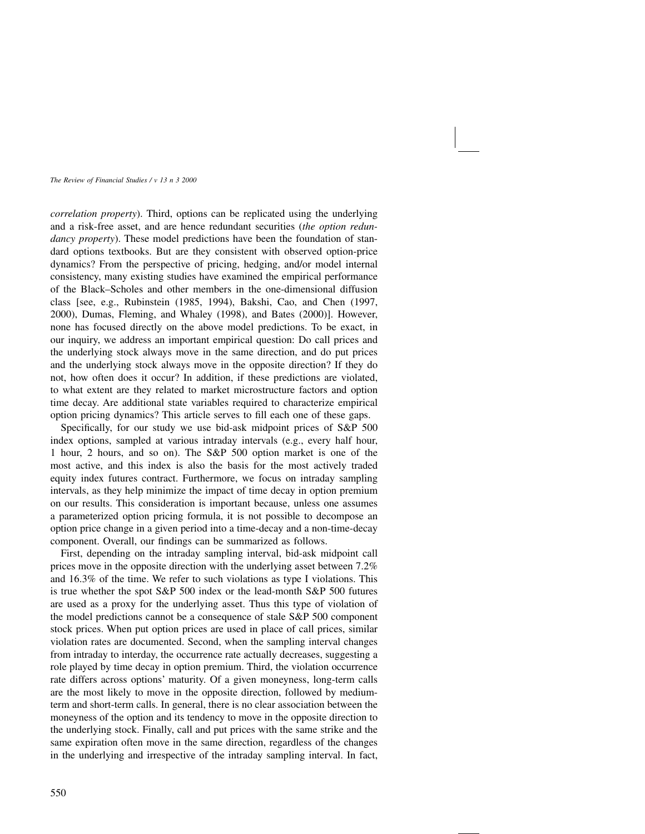correlation property). Third, options can be replicated using the underlying and a risk-free asset, and are hence redundant securities (the option redundancy property). These model predictions have been the foundation of standard options textbooks. But are they consistent with observed option-price dynamics? From the perspective of pricing, hedging, and/or model internal consistency, many existing studies have examined the empirical performance of the Black–Scholes and other members in the one-dimensional diffusion class [see, e.g., Rubinstein (1985, 1994), Bakshi, Cao, and Chen (1997, 2000), Dumas, Fleming, and Whaley (1998), and Bates (2000)]. However, none has focused directly on the above model predictions. To be exact, in our inquiry, we address an important empirical question: Do call prices and the underlying stock always move in the same direction, and do put prices and the underlying stock always move in the opposite direction? If they do not, how often does it occur? In addition, if these predictions are violated, to what extent are they related to market microstructure factors and option time decay. Are additional state variables required to characterize empirical option pricing dynamics? This article serves to fill each one of these gaps.

Specifically, for our study we use bid-ask midpoint prices of S&P 500 index options, sampled at various intraday intervals (e.g., every half hour, 1 hour, 2 hours, and so on). The S&P 500 option market is one of the most active, and this index is also the basis for the most actively traded equity index futures contract. Furthermore, we focus on intraday sampling intervals, as they help minimize the impact of time decay in option premium on our results. This consideration is important because, unless one assumes a parameterized option pricing formula, it is not possible to decompose an option price change in a given period into a time-decay and a non-time-decay component. Overall, our findings can be summarized as follows.

First, depending on the intraday sampling interval, bid-ask midpoint call prices move in the opposite direction with the underlying asset between 7.2% and 16.3% of the time. We refer to such violations as type I violations. This is true whether the spot S&P 500 index or the lead-month S&P 500 futures are used as a proxy for the underlying asset. Thus this type of violation of the model predictions cannot be a consequence of stale S&P 500 component stock prices. When put option prices are used in place of call prices, similar violation rates are documented. Second, when the sampling interval changes from intraday to interday, the occurrence rate actually decreases, suggesting a role played by time decay in option premium. Third, the violation occurrence rate differs across options' maturity. Of a given moneyness, long-term calls are the most likely to move in the opposite direction, followed by mediumterm and short-term calls. In general, there is no clear association between the moneyness of the option and its tendency to move in the opposite direction to the underlying stock. Finally, call and put prices with the same strike and the same expiration often move in the same direction, regardless of the changes in the underlying and irrespective of the intraday sampling interval. In fact,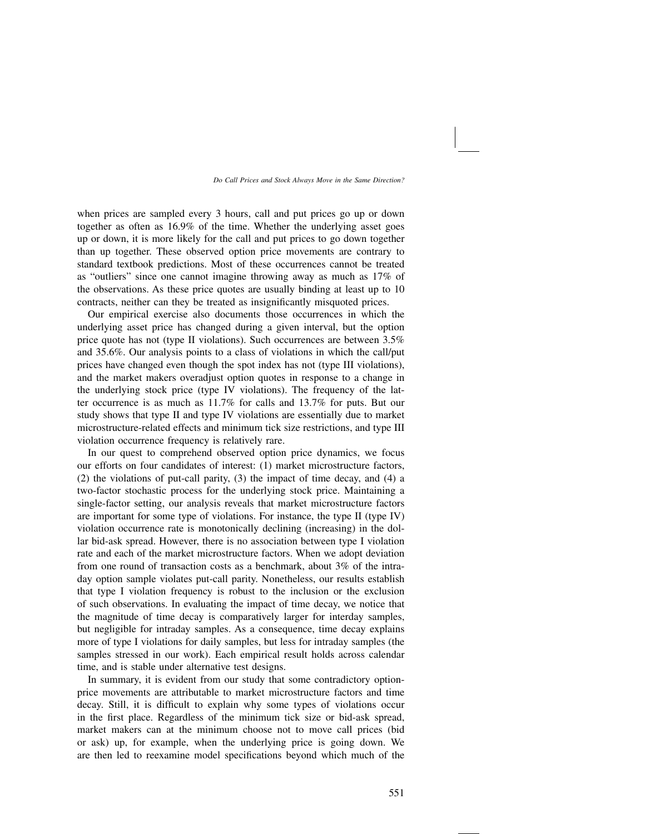when prices are sampled every 3 hours, call and put prices go up or down together as often as 16.9% of the time. Whether the underlying asset goes up or down, it is more likely for the call and put prices to go down together than up together. These observed option price movements are contrary to standard textbook predictions. Most of these occurrences cannot be treated as "outliers" since one cannot imagine throwing away as much as 17% of the observations. As these price quotes are usually binding at least up to 10 contracts, neither can they be treated as insignificantly misquoted prices.

Our empirical exercise also documents those occurrences in which the underlying asset price has changed during a given interval, but the option price quote has not (type II violations). Such occurrences are between 3.5% and 35.6%. Our analysis points to a class of violations in which the call/put prices have changed even though the spot index has not (type III violations), and the market makers overadjust option quotes in response to a change in the underlying stock price (type IV violations). The frequency of the latter occurrence is as much as 11.7% for calls and 13.7% for puts. But our study shows that type II and type IV violations are essentially due to market microstructure-related effects and minimum tick size restrictions, and type III violation occurrence frequency is relatively rare.

In our quest to comprehend observed option price dynamics, we focus our efforts on four candidates of interest: (1) market microstructure factors, (2) the violations of put-call parity, (3) the impact of time decay, and (4) a two-factor stochastic process for the underlying stock price. Maintaining a single-factor setting, our analysis reveals that market microstructure factors are important for some type of violations. For instance, the type II (type IV) violation occurrence rate is monotonically declining (increasing) in the dollar bid-ask spread. However, there is no association between type I violation rate and each of the market microstructure factors. When we adopt deviation from one round of transaction costs as a benchmark, about 3% of the intraday option sample violates put-call parity. Nonetheless, our results establish that type I violation frequency is robust to the inclusion or the exclusion of such observations. In evaluating the impact of time decay, we notice that the magnitude of time decay is comparatively larger for interday samples, but negligible for intraday samples. As a consequence, time decay explains more of type I violations for daily samples, but less for intraday samples (the samples stressed in our work). Each empirical result holds across calendar time, and is stable under alternative test designs.

In summary, it is evident from our study that some contradictory optionprice movements are attributable to market microstructure factors and time decay. Still, it is difficult to explain why some types of violations occur in the first place. Regardless of the minimum tick size or bid-ask spread, market makers can at the minimum choose not to move call prices (bid or ask) up, for example, when the underlying price is going down. We are then led to reexamine model specifications beyond which much of the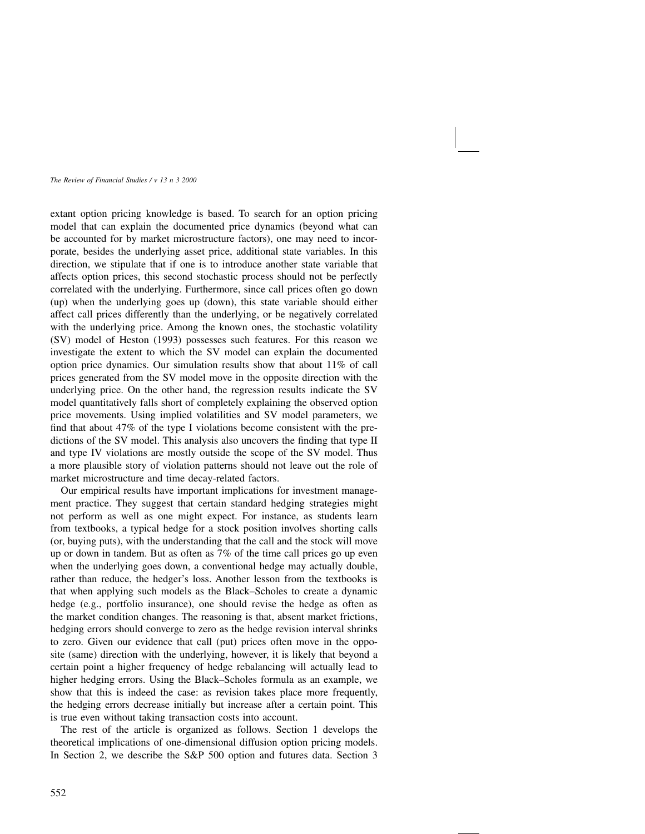extant option pricing knowledge is based. To search for an option pricing model that can explain the documented price dynamics (beyond what can be accounted for by market microstructure factors), one may need to incorporate, besides the underlying asset price, additional state variables. In this direction, we stipulate that if one is to introduce another state variable that affects option prices, this second stochastic process should not be perfectly correlated with the underlying. Furthermore, since call prices often go down (up) when the underlying goes up (down), this state variable should either affect call prices differently than the underlying, or be negatively correlated with the underlying price. Among the known ones, the stochastic volatility (SV) model of Heston (1993) possesses such features. For this reason we investigate the extent to which the SV model can explain the documented option price dynamics. Our simulation results show that about 11% of call prices generated from the SV model move in the opposite direction with the underlying price. On the other hand, the regression results indicate the SV model quantitatively falls short of completely explaining the observed option price movements. Using implied volatilities and SV model parameters, we find that about 47% of the type I violations become consistent with the predictions of the SV model. This analysis also uncovers the finding that type II and type IV violations are mostly outside the scope of the SV model. Thus a more plausible story of violation patterns should not leave out the role of market microstructure and time decay-related factors.

Our empirical results have important implications for investment management practice. They suggest that certain standard hedging strategies might not perform as well as one might expect. For instance, as students learn from textbooks, a typical hedge for a stock position involves shorting calls (or, buying puts), with the understanding that the call and the stock will move up or down in tandem. But as often as 7% of the time call prices go up even when the underlying goes down, a conventional hedge may actually double, rather than reduce, the hedger's loss. Another lesson from the textbooks is that when applying such models as the Black–Scholes to create a dynamic hedge (e.g., portfolio insurance), one should revise the hedge as often as the market condition changes. The reasoning is that, absent market frictions, hedging errors should converge to zero as the hedge revision interval shrinks to zero. Given our evidence that call (put) prices often move in the opposite (same) direction with the underlying, however, it is likely that beyond a certain point a higher frequency of hedge rebalancing will actually lead to higher hedging errors. Using the Black–Scholes formula as an example, we show that this is indeed the case: as revision takes place more frequently, the hedging errors decrease initially but increase after a certain point. This is true even without taking transaction costs into account.

The rest of the article is organized as follows. Section 1 develops the theoretical implications of one-dimensional diffusion option pricing models. In Section 2, we describe the S&P 500 option and futures data. Section 3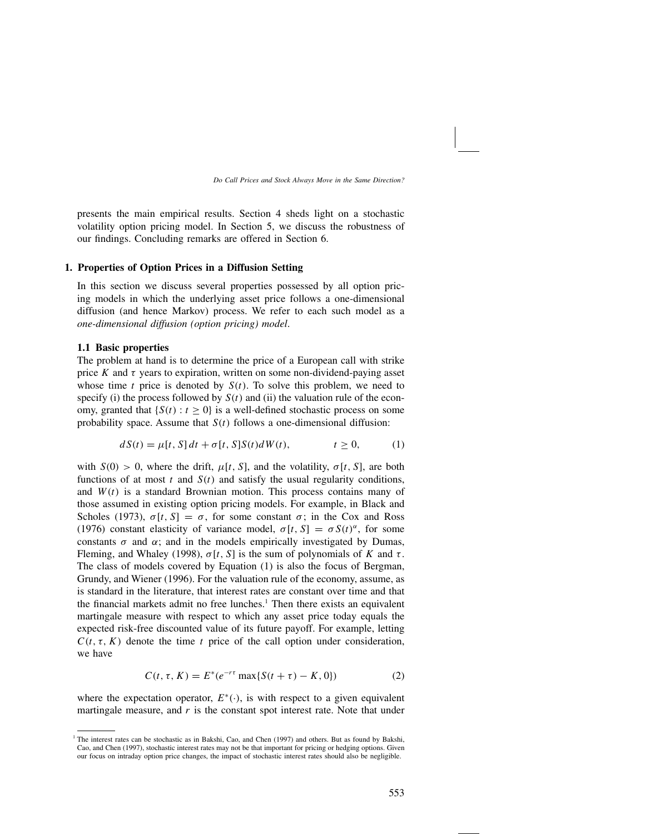presents the main empirical results. Section 4 sheds light on a stochastic volatility option pricing model. In Section 5, we discuss the robustness of our findings. Concluding remarks are offered in Section 6.

## **1. Properties of Option Prices in a Diffusion Setting**

In this section we discuss several properties possessed by all option pricing models in which the underlying asset price follows a one-dimensional diffusion (and hence Markov) process. We refer to each such model as a one-dimensional diffusion (option pricing) model.

## **1.1 Basic properties**

The problem at hand is to determine the price of a European call with strike price K and  $\tau$  years to expiration, written on some non-dividend-paying asset whose time t price is denoted by  $S(t)$ . To solve this problem, we need to specify (i) the process followed by  $S(t)$  and (ii) the valuation rule of the economy, granted that  $\{S(t): t \geq 0\}$  is a well-defined stochastic process on some probability space. Assume that  $S(t)$  follows a one-dimensional diffusion:

$$
dS(t) = \mu[t, S]dt + \sigma[t, S]S(t)dW(t), \qquad t \ge 0,
$$
 (1)

with  $S(0) > 0$ , where the drift,  $\mu[t, S]$ , and the volatility,  $\sigma[t, S]$ , are both functions of at most  $t$  and  $S(t)$  and satisfy the usual regularity conditions, and  $W(t)$  is a standard Brownian motion. This process contains many of those assumed in existing option pricing models. For example, in Black and Scholes (1973),  $\sigma[t, S] = \sigma$ , for some constant  $\sigma$ ; in the Cox and Ross (1976) constant elasticity of variance model,  $\sigma[t, S] = \sigma S(t)^{\alpha}$ , for some constants  $\sigma$  and  $\alpha$ ; and in the models empirically investigated by Dumas, Fleming, and Whaley (1998),  $\sigma[t, S]$  is the sum of polynomials of K and  $\tau$ . The class of models covered by Equation (1) is also the focus of Bergman, Grundy, and Wiener (1996). For the valuation rule of the economy, assume, as is standard in the literature, that interest rates are constant over time and that the financial markets admit no free lunches.<sup>1</sup> Then there exists an equivalent martingale measure with respect to which any asset price today equals the expected risk-free discounted value of its future payoff. For example, letting  $C(t, \tau, K)$  denote the time t price of the call option under consideration, we have

$$
C(t, \tau, K) = E^*(e^{-r\tau} \max\{S(t + \tau) - K, 0\})
$$
 (2)

where the expectation operator,  $E^*(\cdot)$ , is with respect to a given equivalent martingale measure, and  $r$  is the constant spot interest rate. Note that under

<sup>&</sup>lt;sup>1</sup> The interest rates can be stochastic as in Bakshi, Cao, and Chen (1997) and others. But as found by Bakshi, Cao, and Chen (1997), stochastic interest rates may not be that important for pricing or hedging options. Given our focus on intraday option price changes, the impact of stochastic interest rates should also be negligible.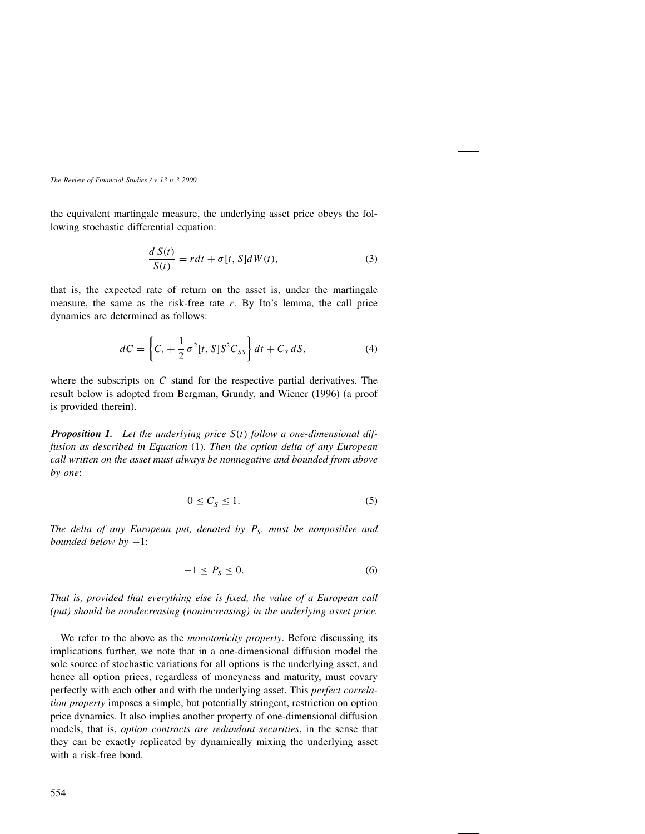the equivalent martingale measure, the underlying asset price obeys the following stochastic differential equation:

$$
\frac{d S(t)}{S(t)} = rdt + \sigma[t, S]dW(t),
$$
\n(3)

that is, the expected rate of return on the asset is, under the martingale measure, the same as the risk-free rate  $r$ . By Ito's lemma, the call price dynamics are determined as follows:

$$
dC = \left\{ C_t + \frac{1}{2} \sigma^2[t, S] S^2 C_{SS} \right\} dt + C_S dS,
$$
\n<sup>(4)</sup>

where the subscripts on  $C$  stand for the respective partial derivatives. The result below is adopted from Bergman, Grundy, and Wiener (1996) (a proof is provided therein).

**Proposition 1.** Let the underlying price  $S(t)$  follow a one-dimensional diffusion as described in Equation (1). Then the option delta of any European call written on the asset must always be nonnegative and bounded from above by one:

$$
0 \le C_S \le 1. \tag{5}
$$

The delta of any European put, denoted by  $P_s$ , must be nonpositive and bounded below by  $-1$ :

$$
-1 \le P_{\rm S} \le 0. \tag{6}
$$

That is, provided that everything else is fixed, the value of a European call (put) should be nondecreasing (nonincreasing) in the underlying asset price.

We refer to the above as the *monotonicity property*. Before discussing its implications further, we note that in a one-dimensional diffusion model the sole source of stochastic variations for all options is the underlying asset, and hence all option prices, regardless of moneyness and maturity, must covary perfectly with each other and with the underlying asset. This perfect correlation property imposes a simple, but potentially stringent, restriction on option price dynamics. It also implies another property of one-dimensional diffusion models, that is, option contracts are redundant securities, in the sense that they can be exactly replicated by dynamically mixing the underlying asset with a risk-free bond.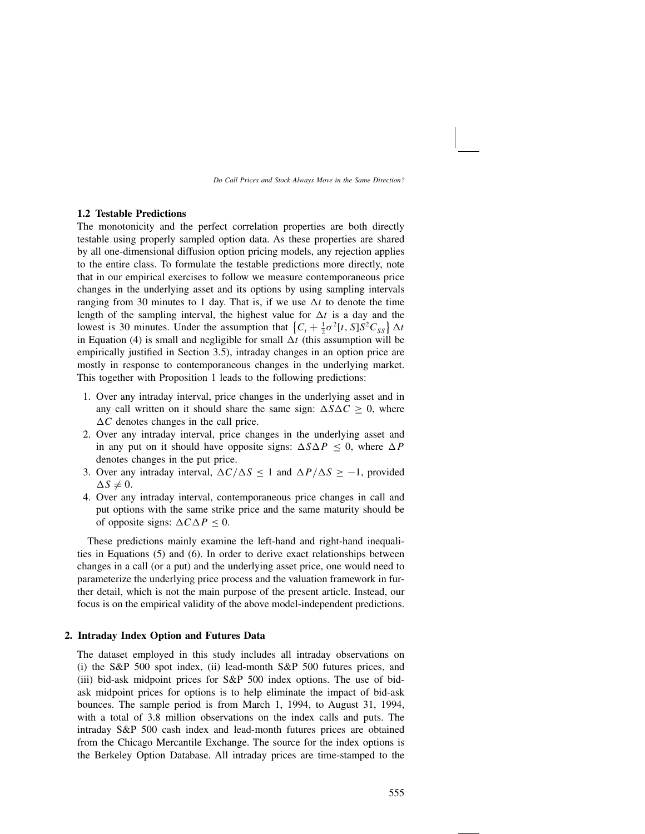## **1.2 Testable Predictions**

The monotonicity and the perfect correlation properties are both directly testable using properly sampled option data. As these properties are shared by all one-dimensional diffusion option pricing models, any rejection applies to the entire class. To formulate the testable predictions more directly, note that in our empirical exercises to follow we measure contemporaneous price changes in the underlying asset and its options by using sampling intervals ranging from 30 minutes to 1 day. That is, if we use  $\Delta t$  to denote the time length of the sampling interval, the highest value for  $\Delta t$  is a day and the lowest is 30 minutes. Under the assumption that  $\{C_t + \frac{1}{2}\sigma^2[t, S]S^2C_{SS}\}\Delta t$ in Equation (4) is small and negligible for small  $\Delta t$  (this assumption will be empirically justified in Section 3.5), intraday changes in an option price are mostly in response to contemporaneous changes in the underlying market. This together with Proposition 1 leads to the following predictions:

- 1. Over any intraday interval, price changes in the underlying asset and in any call written on it should share the same sign:  $\Delta S \Delta C \ge 0$ , where  $\Delta C$  denotes changes in the call price.
- 2. Over any intraday interval, price changes in the underlying asset and in any put on it should have opposite signs:  $\Delta S \Delta P \leq 0$ , where  $\Delta P$ denotes changes in the put price.
- 3. Over any intraday interval,  $\Delta C/\Delta S \le 1$  and  $\Delta P/\Delta S \ge -1$ , provided  $\Delta S \neq 0.$
- 4. Over any intraday interval, contemporaneous price changes in call and put options with the same strike price and the same maturity should be of opposite signs:  $\Delta C \Delta P \leq 0$ .

These predictions mainly examine the left-hand and right-hand inequalities in Equations (5) and (6). In order to derive exact relationships between changes in a call (or a put) and the underlying asset price, one would need to parameterize the underlying price process and the valuation framework in further detail, which is not the main purpose of the present article. Instead, our focus is on the empirical validity of the above model-independent predictions.

## **2. Intraday Index Option and Futures Data**

The dataset employed in this study includes all intraday observations on (i) the S&P 500 spot index, (ii) lead-month S&P 500 futures prices, and (iii) bid-ask midpoint prices for S&P 500 index options. The use of bidask midpoint prices for options is to help eliminate the impact of bid-ask bounces. The sample period is from March 1, 1994, to August 31, 1994, with a total of 3.8 million observations on the index calls and puts. The intraday S&P 500 cash index and lead-month futures prices are obtained from the Chicago Mercantile Exchange. The source for the index options is the Berkeley Option Database. All intraday prices are time-stamped to the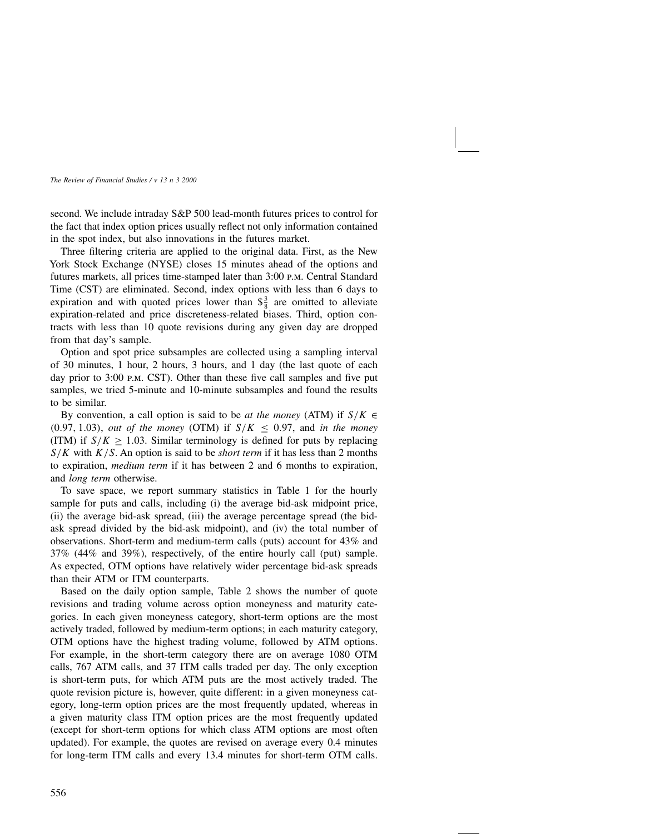second. We include intraday S&P 500 lead-month futures prices to control for the fact that index option prices usually reflect not only information contained in the spot index, but also innovations in the futures market.

Three filtering criteria are applied to the original data. First, as the New York Stock Exchange (NYSE) closes 15 minutes ahead of the options and futures markets, all prices time-stamped later than 3:00 p.m. Central Standard Time (CST) are eliminated. Second, index options with less than 6 days to expiration and with quoted prices lower than  $\frac{3}{8}$  are omitted to alleviate expiration-related and price discreteness-related biases. Third, option contracts with less than 10quote revisions during any given day are dropped from that day's sample.

Option and spot price subsamples are collected using a sampling interval of 30minutes, 1 hour, 2 hours, 3 hours, and 1 day (the last quote of each day prior to 3:00 p.m. CST). Other than these five call samples and five put samples, we tried 5-minute and 10-minute subsamples and found the results to be similar.

By convention, a call option is said to be *at the money* (ATM) if  $S/K \in$ (0.97, 1.03), out of the money (OTM) if  $S/K \leq 0.97$ , and in the money (ITM) if  $S/K \ge 1.03$ . Similar terminology is defined for puts by replacing  $S/K$  with  $K/S$ . An option is said to be *short term* if it has less than 2 months to expiration, medium term if it has between 2 and 6 months to expiration, and long term otherwise.

To save space, we report summary statistics in Table 1 for the hourly sample for puts and calls, including (i) the average bid-ask midpoint price, (ii) the average bid-ask spread, (iii) the average percentage spread (the bidask spread divided by the bid-ask midpoint), and (iv) the total number of observations. Short-term and medium-term calls (puts) account for 43% and 37% (44% and 39%), respectively, of the entire hourly call (put) sample. As expected, OTM options have relatively wider percentage bid-ask spreads than their ATM or ITM counterparts.

Based on the daily option sample, Table 2 shows the number of quote revisions and trading volume across option moneyness and maturity categories. In each given moneyness category, short-term options are the most actively traded, followed by medium-term options; in each maturity category, OTM options have the highest trading volume, followed by ATM options. For example, in the short-term category there are on average 1080 OTM calls, 767 ATM calls, and 37 ITM calls traded per day. The only exception is short-term puts, for which ATM puts are the most actively traded. The quote revision picture is, however, quite different: in a given moneyness category, long-term option prices are the most frequently updated, whereas in a given maturity class ITM option prices are the most frequently updated (except for short-term options for which class ATM options are most often updated). For example, the quotes are revised on average every 0.4 minutes for long-term ITM calls and every 13.4 minutes for short-term OTM calls.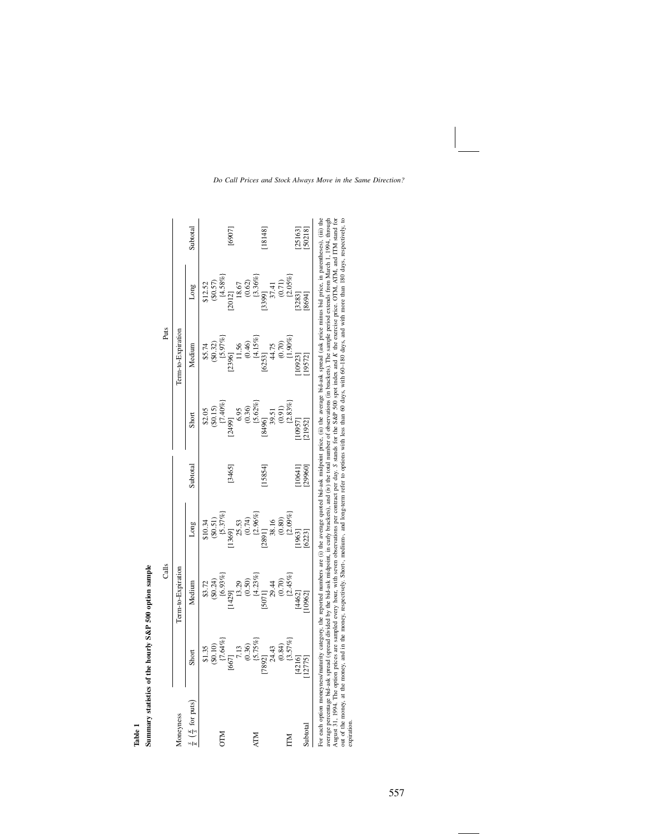|                                                                                                                                                                                                    |                                   | Calls               |                                                           |          |                    | Puts                                                                                                                                                                                                                                                                                                                                                                                                                                                                                                                                                                                                                   |                                              |          |
|----------------------------------------------------------------------------------------------------------------------------------------------------------------------------------------------------|-----------------------------------|---------------------|-----------------------------------------------------------|----------|--------------------|------------------------------------------------------------------------------------------------------------------------------------------------------------------------------------------------------------------------------------------------------------------------------------------------------------------------------------------------------------------------------------------------------------------------------------------------------------------------------------------------------------------------------------------------------------------------------------------------------------------------|----------------------------------------------|----------|
| Moneyness                                                                                                                                                                                          |                                   | Term-to-Expiration  |                                                           |          |                    | Term-to-Expiration                                                                                                                                                                                                                                                                                                                                                                                                                                                                                                                                                                                                     |                                              |          |
| $\frac{k}{r}$ for puts)                                                                                                                                                                            | Short                             | Medium              | Long                                                      | Subtotal | Short              | Medium                                                                                                                                                                                                                                                                                                                                                                                                                                                                                                                                                                                                                 | Long                                         | Subtotal |
|                                                                                                                                                                                                    | $$1.35$<br>$($0.10)$              | \$3.72<br>(\$0.24)  | $$10.34$<br>$($0.51)$<br>$[5.37%]$                        |          | $$2.05$<br>$$0.15$ | $\begin{array}{c} $5.74 \ (80.32) \ (5.97\%)\ \end{array}$                                                                                                                                                                                                                                                                                                                                                                                                                                                                                                                                                             | $$12.52$<br>(\$0.57)<br>(4.58%)              |          |
|                                                                                                                                                                                                    |                                   |                     |                                                           |          |                    |                                                                                                                                                                                                                                                                                                                                                                                                                                                                                                                                                                                                                        |                                              |          |
|                                                                                                                                                                                                    | (7.64%)                           | (6.93%)             |                                                           |          | [7.40%]            |                                                                                                                                                                                                                                                                                                                                                                                                                                                                                                                                                                                                                        |                                              |          |
|                                                                                                                                                                                                    | [667]                             |                     | 1369]                                                     | [3465]   | 2499]              | 2396]                                                                                                                                                                                                                                                                                                                                                                                                                                                                                                                                                                                                                  |                                              | [6907]   |
|                                                                                                                                                                                                    |                                   | 13.29               |                                                           |          | 6.95               | 11.56                                                                                                                                                                                                                                                                                                                                                                                                                                                                                                                                                                                                                  |                                              |          |
|                                                                                                                                                                                                    |                                   |                     |                                                           |          | (0.36)             |                                                                                                                                                                                                                                                                                                                                                                                                                                                                                                                                                                                                                        |                                              |          |
|                                                                                                                                                                                                    | $7.13$<br>$(0.36)$<br>$(5.75%)$   | $(0.50)$<br>{4.23%} | $25.53$<br>$(0.74)$<br>$(2.96\%)$                         |          | [5.62%]            | $(0.46)$<br>{4.15%}<br>[6253]                                                                                                                                                                                                                                                                                                                                                                                                                                                                                                                                                                                          | $[2\,0\,1\,2] \atop [0.62) \atop [3.36\%] }$ |          |
|                                                                                                                                                                                                    | [7892]                            |                     | [2891]                                                    | 15854]   | [8496]             |                                                                                                                                                                                                                                                                                                                                                                                                                                                                                                                                                                                                                        |                                              | 18148    |
|                                                                                                                                                                                                    |                                   | 29.44               |                                                           |          | 39.51              | 44.75                                                                                                                                                                                                                                                                                                                                                                                                                                                                                                                                                                                                                  |                                              |          |
|                                                                                                                                                                                                    | $24.43$<br>$(0.84)$<br>$[3.57\%]$ | $(0.70)$            | $\begin{array}{c} 38.16 \\ (0.80) \\ (2.09\%)\end{array}$ |          | (0.91)             | $(0.70)$                                                                                                                                                                                                                                                                                                                                                                                                                                                                                                                                                                                                               | $[3399] \n37.41 \n(0.71) \n(0.71) \n(2.05%)$ |          |
|                                                                                                                                                                                                    |                                   | $\{2.45\%$          |                                                           |          | (2.83%)            | (1.90%                                                                                                                                                                                                                                                                                                                                                                                                                                                                                                                                                                                                                 |                                              |          |
|                                                                                                                                                                                                    | [4216]                            | [4462]              | 1963]                                                     | 10641    | 10957              | 109231                                                                                                                                                                                                                                                                                                                                                                                                                                                                                                                                                                                                                 | [3283]                                       | [25163]  |
| Subtota                                                                                                                                                                                            | 12775]                            | 109621              | [6223]                                                    | [29960]  | 21952]             |                                                                                                                                                                                                                                                                                                                                                                                                                                                                                                                                                                                                                        | 8694                                         | 50218    |
| August 31, 1994. The option prices are sampled every hour, with seven observations per contract per day. S stands for the S&P 500 spot index and K the exercise price. OTM, ATM, and ITM stand for |                                   |                     |                                                           |          |                    | out of the money, at the money, and in the money, respectively. Short-, medium-, and long-term refer to options with less than 60 days, with 60-180 days, and with more than 180 days, respectively, to<br>For each option moneyness/maturity category, the reported numbers are (i) the average quoted bid-ask in photo average bid-ask spread (ask price minus bid price, in parentheses), (iii) the<br>average percentage bid-ask spread spread divided by the bid-ask midpoint, in curly brackets), and (iv) the total number of observations (in brackets). The sample period extends from March 1, 1994, through |                                              |          |

Summary statistics of the hourly S&P 500 option sample **Summary statistics of the hourly S&P 500 option sample Table 1**

expiration.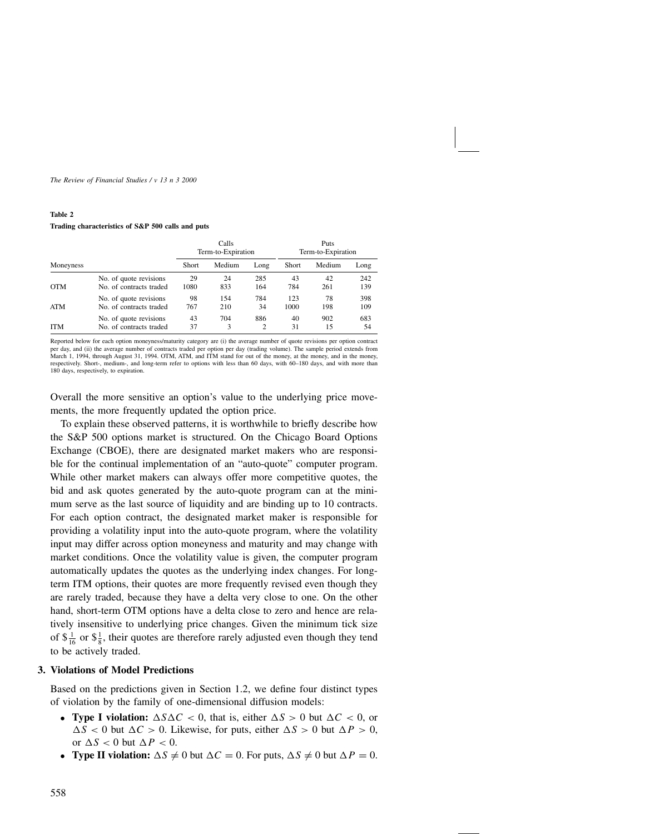#### **Table 2 Trading characteristics of S&P 500 calls and puts**

|            |                         |       | Calls<br>Term-to-Expiration |      |       | Puts<br>Term-to-Expiration |      |
|------------|-------------------------|-------|-----------------------------|------|-------|----------------------------|------|
| Moneyness  |                         | Short | Medium                      | Long | Short | Medium                     | Long |
| <b>OTM</b> | No. of quote revisions  | 29    | 24                          | 285  | 43    | 42                         | 242  |
|            | No. of contracts traded | 1080  | 833                         | 164  | 784   | 261                        | 139  |
| <b>ATM</b> | No. of quote revisions  | 98    | 154                         | 784  | 123   | 78                         | 398  |
|            | No. of contracts traded | 767   | 210                         | 34   | 1000  | 198                        | 109  |
| <b>ITM</b> | No. of quote revisions  | 43    | 704                         | 886  | 40    | 902                        | 683  |
|            | No. of contracts traded | 37    | 3                           | 2    | 31    | 15                         | 54   |

Reported below for each option moneyness/maturity category are (i) the average number of quote revisions per option contract per day, and (ii) the average number of contracts traded per option per day (trading volume). The sample period extends from March 1, 1994, through August 31, 1994. OTM, ATM, and ITM stand for out of the money, at the money, and in the money, respectively. Short-, medium-, and long-term refer to options with less than 60 days, with 60–180 days, and with more than 180 days, respectively, to expiration.

Overall the more sensitive an option's value to the underlying price movements, the more frequently updated the option price.

To explain these observed patterns, it is worthwhile to briefly describe how the S&P 500 options market is structured. On the Chicago Board Options Exchange (CBOE), there are designated market makers who are responsible for the continual implementation of an "auto-quote" computer program. While other market makers can always offer more competitive quotes, the bid and ask quotes generated by the auto-quote program can at the minimum serve as the last source of liquidity and are binding up to 10 contracts. For each option contract, the designated market maker is responsible for providing a volatility input into the auto-quote program, where the volatility input may differ across option moneyness and maturity and may change with market conditions. Once the volatility value is given, the computer program automatically updates the quotes as the underlying index changes. For longterm ITM options, their quotes are more frequently revised even though they are rarely traded, because they have a delta very close to one. On the other hand, short-term OTM options have a delta close to zero and hence are relatively insensitive to underlying price changes. Given the minimum tick size of  $\$\frac{1}{16}$  or  $\$\frac{1}{8}$ , their quotes are therefore rarely adjusted even though they tend to be actively traded.

## **3. Violations of Model Predictions**

Based on the predictions given in Section 1.2, we define four distinct types of violation by the family of one-dimensional diffusion models:

- **Type I violation:**  $\Delta S \Delta C < 0$ , that is, either  $\Delta S > 0$  but  $\Delta C < 0$ , or  $\Delta S < 0$  but  $\Delta C > 0$ . Likewise, for puts, either  $\Delta S > 0$  but  $\Delta P > 0$ , or  $\Delta S < 0$  but  $\Delta P < 0$ .
- **Type II violation:**  $\Delta S \neq 0$  but  $\Delta C = 0$ . For puts,  $\Delta S \neq 0$  but  $\Delta P = 0$ .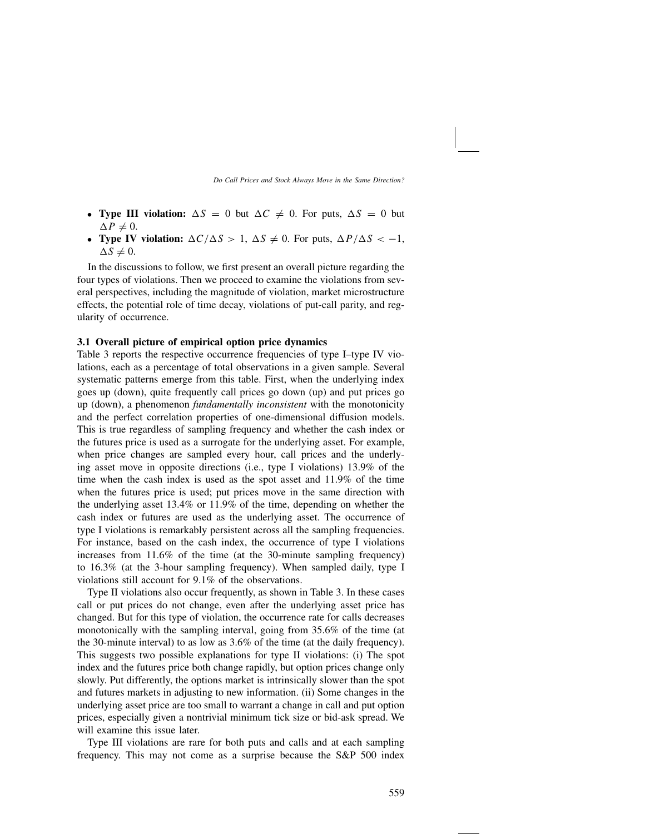- **Type III violation:**  $\Delta S = 0$  but  $\Delta C \neq 0$ . For puts,  $\Delta S = 0$  but  $\Delta P \neq 0.$
- **Type IV violation:**  $\Delta C / \Delta S > 1$ ,  $\Delta S \neq 0$ . For puts,  $\Delta P / \Delta S < -1$ ,  $\Delta S \neq 0.$

In the discussions to follow, we first present an overall picture regarding the four types of violations. Then we proceed to examine the violations from several perspectives, including the magnitude of violation, market microstructure effects, the potential role of time decay, violations of put-call parity, and regularity of occurrence.

## **3.1Overall picture of empirical option price dynamics**

Table 3 reports the respective occurrence frequencies of type I–type IV violations, each as a percentage of total observations in a given sample. Several systematic patterns emerge from this table. First, when the underlying index goes up (down), quite frequently call prices go down (up) and put prices go up (down), a phenomenon fundamentally inconsistent with the monotonicity and the perfect correlation properties of one-dimensional diffusion models. This is true regardless of sampling frequency and whether the cash index or the futures price is used as a surrogate for the underlying asset. For example, when price changes are sampled every hour, call prices and the underlying asset move in opposite directions (i.e., type I violations) 13.9% of the time when the cash index is used as the spot asset and 11.9% of the time when the futures price is used; put prices move in the same direction with the underlying asset 13.4% or 11.9% of the time, depending on whether the cash index or futures are used as the underlying asset. The occurrence of type I violations is remarkably persistent across all the sampling frequencies. For instance, based on the cash index, the occurrence of type I violations increases from 11.6% of the time (at the 30-minute sampling frequency) to 16.3% (at the 3-hour sampling frequency). When sampled daily, type I violations still account for 9.1% of the observations.

Type II violations also occur frequently, as shown in Table 3. In these cases call or put prices do not change, even after the underlying asset price has changed. But for this type of violation, the occurrence rate for calls decreases monotonically with the sampling interval, going from 35.6% of the time (at the 30-minute interval) to as low as 3.6% of the time (at the daily frequency). This suggests two possible explanations for type II violations: (i) The spot index and the futures price both change rapidly, but option prices change only slowly. Put differently, the options market is intrinsically slower than the spot and futures markets in adjusting to new information. (ii) Some changes in the underlying asset price are too small to warrant a change in call and put option prices, especially given a nontrivial minimum tick size or bid-ask spread. We will examine this issue later.

Type III violations are rare for both puts and calls and at each sampling frequency. This may not come as a surprise because the S&P 500 index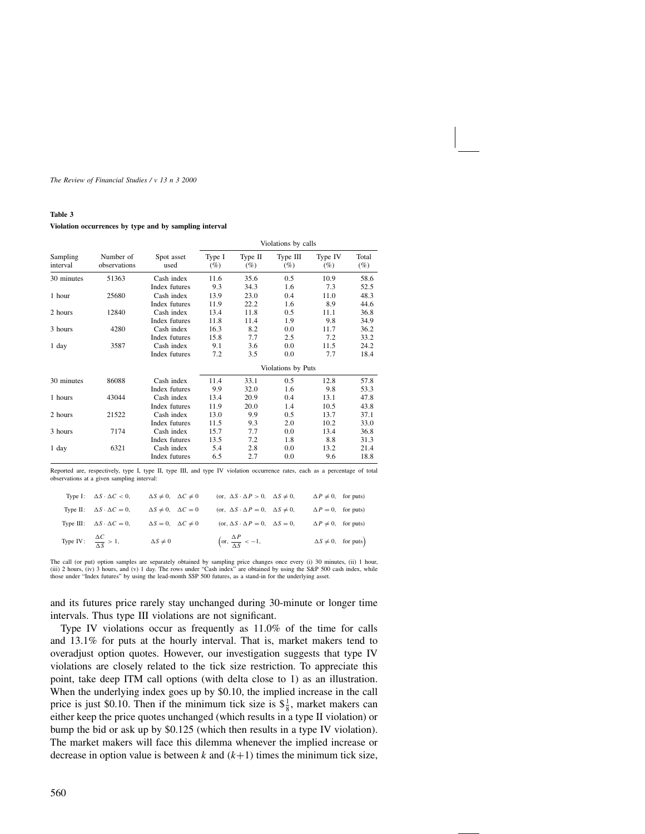|                      |                           |                      |                  |                | Violations by calls |                |                 |
|----------------------|---------------------------|----------------------|------------------|----------------|---------------------|----------------|-----------------|
| Sampling<br>interval | Number of<br>observations | Spot asset<br>used   | Type I<br>$(\%)$ | Type II<br>(%) | Type III<br>$(\%)$  | Type IV<br>(%) | Total<br>$(\%)$ |
| 30 minutes           | 51363                     | Cash index           | 11.6             | 35.6           | 0.5                 | 10.9           | 58.6            |
|                      |                           | Index futures        | 9.3              | 34.3           | 1.6                 | 7.3            | 52.5            |
| 1 hour               | 25680                     | Cash index           | 13.9             | 23.0           | 0.4                 | 11.0           | 48.3            |
|                      |                           | Index futures        | 11.9             | 22.2           | 1.6                 | 8.9            | 44.6            |
| 2 hours              | 12840                     | Cash index           | 13.4             | 11.8           | 0.5                 | 11.1           | 36.8            |
|                      |                           | Index futures        | 11.8             | 11.4           | 1.9                 | 9.8            | 34.9            |
| 3 hours              | 4280                      | Cash index           | 16.3             | 8.2            | 0.0                 | 11.7           | 36.2            |
|                      |                           | Index futures        | 15.8             | 7.7            | 2.5                 | 7.2            | 33.2            |
| 1 day                | 3587                      | Cash index           | 9.1              | 3.6            | 0.0                 | 11.5           | 24.2            |
|                      |                           | Index futures        | 7.2              | 3.5            | 0.0                 | 7.7            | 18.4            |
|                      |                           |                      |                  |                | Violations by Puts  |                |                 |
| 30 minutes           | 86088                     | Cash index           | 11.4             | 33.1           | 0.5                 | 12.8           | 57.8            |
|                      |                           | Index futures        | 9.9              | 32.0           | 1.6                 | 9.8            | 53.3            |
| 1 hours              | 43044                     | Cash index           | 13.4             | 20.9           | 0.4                 | 13.1           | 47.8            |
|                      |                           | Index futures        | 11.9             | 20.0           | 1.4                 | 10.5           | 43.8            |
| 2 hours              | 21522                     | Cash index           | 13.0             | 9.9            | 0.5                 | 13.7           | 37.1            |
|                      |                           | <b>Index futures</b> | 11.5             | 9.3            | 2.0                 | 10.2           | 33.0            |
| 3 hours              | 7174                      | Cash index           | 15.7             | 7.7            | 0.0                 | 13.4           | 36.8            |
|                      |                           | Index futures        | 13.5             | 7.2            | 1.8                 | 8.8            | 31.3            |
| 1 day                | 6321                      | Cash index           | 5.4              | 2.8            | 0.0                 | 13.2           | 21.4            |
|                      |                           | Index futures        | 6.5              | 2.7            | 0.0                 | 9.6            | 18.8            |

#### **Table 3 Violation occurrences by type and by sampling interval**

Reported are, respectively, type I, type II, type III, and type IV violation occurrence rates, each as a percentage of total observations at a given sampling interval:

| Type I: $\Delta S \cdot \Delta C < 0$ ,                      | $\Delta S \neq 0$ , $\Delta C \neq 0$ | (or, $\Delta S \cdot \Delta P > 0$ , $\Delta S \neq 0$ , | $\Delta P \neq 0$ , for puts) |  |
|--------------------------------------------------------------|---------------------------------------|----------------------------------------------------------|-------------------------------|--|
| Type II: $\Delta S \cdot \Delta C = 0$ ,                     | $\Delta S \neq 0$ , $\Delta C = 0$    | (or, $\Delta S \cdot \Delta P = 0$ , $\Delta S \neq 0$ , | $\Delta P = 0$ , for puts)    |  |
| Type III: $\Delta S \cdot \Delta C = 0$ ,                    | $\Delta S = 0, \quad \Delta C \neq 0$ | (or, $\Delta S \cdot \Delta P = 0$ , $\Delta S = 0$ ,    | $\Delta P \neq 0$ , for puts) |  |
| Type IV: $\frac{\Delta C}{\Delta S} > 1$ , $\Delta S \neq 0$ |                                       | $\left(\text{or, }\frac{\Delta P}{\Delta S} < -1\right)$ | $\Delta S \neq 0$ , for puts) |  |

The call (or put) option samples are separately obtained by sampling price changes once every (i) 30 minutes, (ii) 1 hour,<br>(iii) 2 hours, (iv) 3 hours, and (v) 1 day. The rows under "Cash index" are obtained by using the S those under "Index futures" by using the lead-month S\$P 500 futures, as a stand-in for the underlying asset.

and its futures price rarely stay unchanged during 30-minute or longer time intervals. Thus type III violations are not significant.

Type IV violations occur as frequently as 11.0% of the time for calls and 13.1% for puts at the hourly interval. That is, market makers tend to overadjust option quotes. However, our investigation suggests that type IV violations are closely related to the tick size restriction. To appreciate this point, take deep ITM call options (with delta close to 1) as an illustration. When the underlying index goes up by \$0.10, the implied increase in the call price is just \$0.10. Then if the minimum tick size is  $\frac{4}{8}$ , market makers can either keep the price quotes unchanged (which results in a type II violation) or bump the bid or ask up by \$0.125 (which then results in a type IV violation). The market makers will face this dilemma whenever the implied increase or decrease in option value is between k and  $(k+1)$  times the minimum tick size,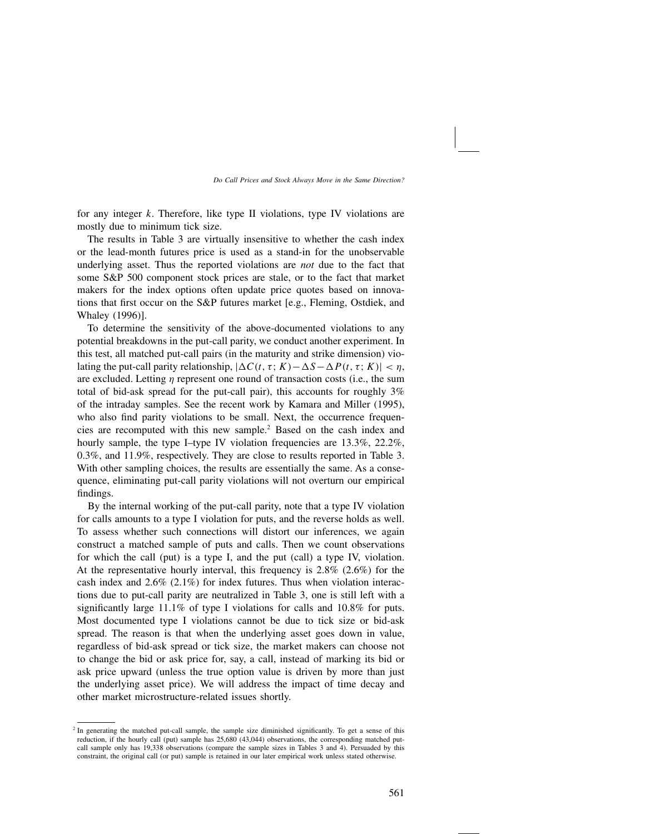for any integer  $k$ . Therefore, like type II violations, type IV violations are mostly due to minimum tick size.

The results in Table 3 are virtually insensitive to whether the cash index or the lead-month futures price is used as a stand-in for the unobservable underlying asset. Thus the reported violations are *not* due to the fact that some S&P 500 component stock prices are stale, or to the fact that market makers for the index options often update price quotes based on innovations that first occur on the S&P futures market [e.g., Fleming, Ostdiek, and Whaley (1996)].

To determine the sensitivity of the above-documented violations to any potential breakdowns in the put-call parity, we conduct another experiment. In this test, all matched put-call pairs (in the maturity and strike dimension) violating the put-call parity relationship,  $|\Delta C(t, \tau; K) - \Delta S - \Delta P(t, \tau; K)| < \eta$ , are excluded. Letting  $\eta$  represent one round of transaction costs (i.e., the sum total of bid-ask spread for the put-call pair), this accounts for roughly 3% of the intraday samples. See the recent work by Kamara and Miller (1995), who also find parity violations to be small. Next, the occurrence frequencies are recomputed with this new sample.2 Based on the cash index and hourly sample, the type I–type IV violation frequencies are 13.3%, 22.2%, 0.3%, and 11.9%, respectively. They are close to results reported in Table 3. With other sampling choices, the results are essentially the same. As a consequence, eliminating put-call parity violations will not overturn our empirical findings.

By the internal working of the put-call parity, note that a type IV violation for calls amounts to a type I violation for puts, and the reverse holds as well. To assess whether such connections will distort our inferences, we again construct a matched sample of puts and calls. Then we count observations for which the call (put) is a type I, and the put (call) a type IV, violation. At the representative hourly interval, this frequency is 2.8% (2.6%) for the cash index and 2.6% (2.1%) for index futures. Thus when violation interactions due to put-call parity are neutralized in Table 3, one is still left with a significantly large 11.1% of type I violations for calls and 10.8% for puts. Most documented type I violations cannot be due to tick size or bid-ask spread. The reason is that when the underlying asset goes down in value, regardless of bid-ask spread or tick size, the market makers can choose not to change the bid or ask price for, say, a call, instead of marking its bid or ask price upward (unless the true option value is driven by more than just the underlying asset price). We will address the impact of time decay and other market microstructure-related issues shortly.

<sup>&</sup>lt;sup>2</sup> In generating the matched put-call sample, the sample size diminished significantly. To get a sense of this reduction, if the hourly call (put) sample has 25,680 (43,044) observations, the corresponding matched putcall sample only has 19,338 observations (compare the sample sizes in Tables 3 and 4). Persuaded by this constraint, the original call (or put) sample is retained in our later empirical work unless stated otherwise.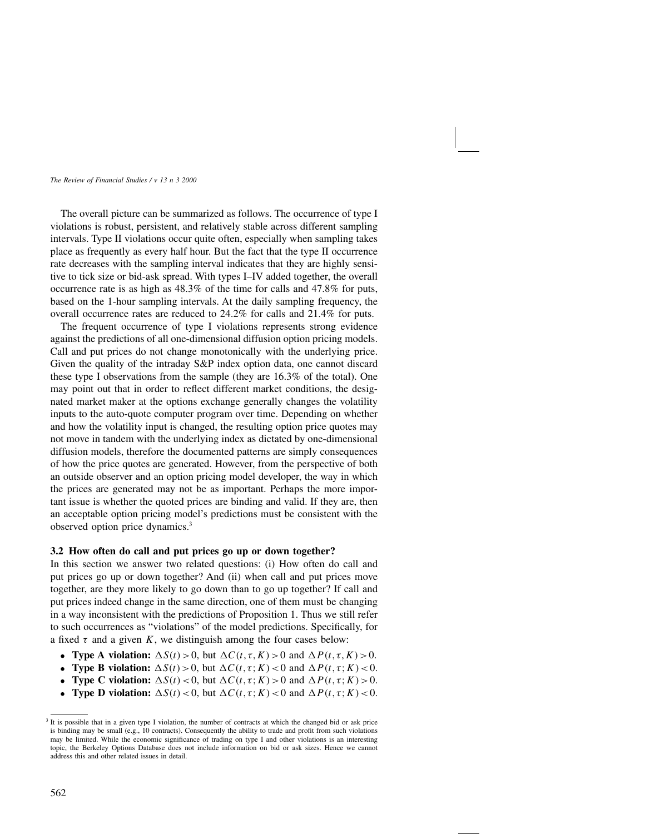The overall picture can be summarized as follows. The occurrence of type I violations is robust, persistent, and relatively stable across different sampling intervals. Type II violations occur quite often, especially when sampling takes place as frequently as every half hour. But the fact that the type II occurrence rate decreases with the sampling interval indicates that they are highly sensitive to tick size or bid-ask spread. With types I–IV added together, the overall occurrence rate is as high as 48.3% of the time for calls and 47.8% for puts, based on the 1-hour sampling intervals. At the daily sampling frequency, the overall occurrence rates are reduced to 24.2% for calls and 21.4% for puts.

The frequent occurrence of type I violations represents strong evidence against the predictions of all one-dimensional diffusion option pricing models. Call and put prices do not change monotonically with the underlying price. Given the quality of the intraday S&P index option data, one cannot discard these type I observations from the sample (they are 16.3% of the total). One may point out that in order to reflect different market conditions, the designated market maker at the options exchange generally changes the volatility inputs to the auto-quote computer program over time. Depending on whether and how the volatility input is changed, the resulting option price quotes may not move in tandem with the underlying index as dictated by one-dimensional diffusion models, therefore the documented patterns are simply consequences of how the price quotes are generated. However, from the perspective of both an outside observer and an option pricing model developer, the way in which the prices are generated may not be as important. Perhaps the more important issue is whether the quoted prices are binding and valid. If they are, then an acceptable option pricing model's predictions must be consistent with the observed option price dynamics.3

## **3.2 How often do call and put prices go up or down together?**

In this section we answer two related questions: (i) How often do call and put prices go up or down together? And (ii) when call and put prices move together, are they more likely to go down than to go up together? If call and put prices indeed change in the same direction, one of them must be changing in a way inconsistent with the predictions of Proposition 1. Thus we still refer to such occurrences as "violations" of the model predictions. Specifically, for a fixed  $\tau$  and a given K, we distinguish among the four cases below:

- **Type A violation:**  $\Delta S(t) > 0$ , but  $\Delta C(t, \tau, K) > 0$  and  $\Delta P(t, \tau, K) > 0$ .
- **Type B violation:**  $\Delta S(t) > 0$ , but  $\Delta C(t, \tau; K) < 0$  and  $\Delta P(t, \tau; K) < 0$ .
- **Type C violation:**  $\Delta S(t) < 0$ , but  $\Delta C(t, \tau; K) > 0$  and  $\Delta P(t, \tau; K) > 0$ .
- **Type D violation:**  $\Delta S(t) < 0$ , but  $\Delta C(t, \tau; K) < 0$  and  $\Delta P(t, \tau; K) < 0$ .

<sup>&</sup>lt;sup>3</sup> It is possible that in a given type I violation, the number of contracts at which the changed bid or ask price is binding may be small (e.g., 10 contracts). Consequently the ability to trade and profit from such violations may be limited. While the economic significance of trading on type I and other violations is an interesting topic, the Berkeley Options Database does not include information on bid or ask sizes. Hence we cannot address this and other related issues in detail.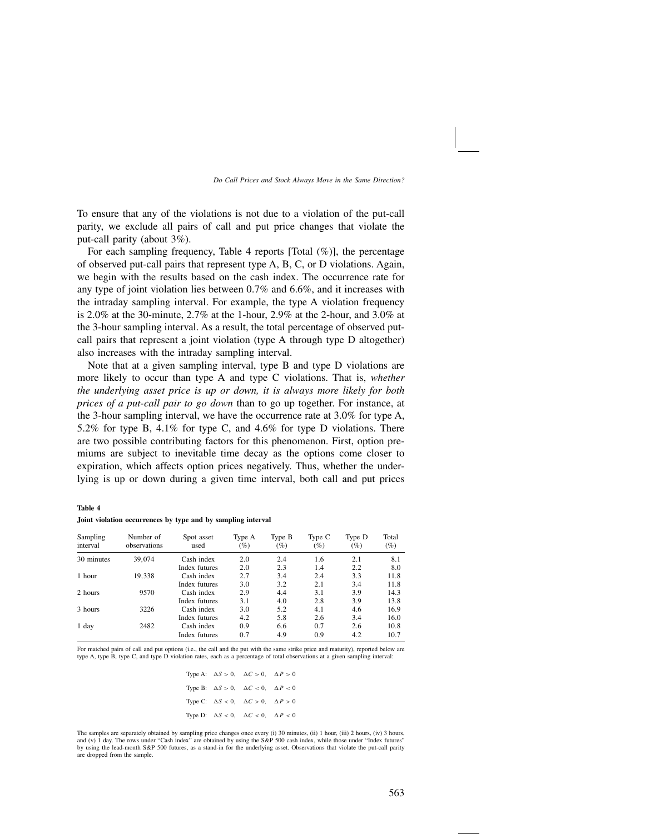To ensure that any of the violations is not due to a violation of the put-call parity, we exclude all pairs of call and put price changes that violate the put-call parity (about 3%).

For each sampling frequency, Table 4 reports [Total  $(\%)$ ], the percentage of observed put-call pairs that represent type A, B, C, or D violations. Again, we begin with the results based on the cash index. The occurrence rate for any type of joint violation lies between 0.7% and 6.6%, and it increases with the intraday sampling interval. For example, the type A violation frequency is 2.0% at the 30-minute, 2.7% at the 1-hour, 2.9% at the 2-hour, and 3.0% at the 3-hour sampling interval. As a result, the total percentage of observed putcall pairs that represent a joint violation (type A through type D altogether) also increases with the intraday sampling interval.

Note that at a given sampling interval, type B and type D violations are more likely to occur than type A and type C violations. That is, whether the underlying asset price is up or down, it is always more likely for both prices of a put-call pair to go down than to go up together. For instance, at the 3-hour sampling interval, we have the occurrence rate at 3.0% for type A, 5.2% for type B, 4.1% for type C, and 4.6% for type D violations. There are two possible contributing factors for this phenomenon. First, option premiums are subject to inevitable time decay as the options come closer to expiration, which affects option prices negatively. Thus, whether the underlying is up or down during a given time interval, both call and put prices

| Sampling<br>interval | Number of<br>observations | Spot asset<br>used | Type A<br>$(\%)$ | Type B<br>$(\%)$ | Type C<br>$(\%)$ | Type D<br>$(\%)$ | Total<br>$(\%)$ |
|----------------------|---------------------------|--------------------|------------------|------------------|------------------|------------------|-----------------|
| 30 minutes           | 39.074                    | Cash index         | 2.0              | 2.4              | 1.6              | 2.1              | 8.1             |
|                      |                           | Index futures      | 2.0              | 2.3              | 1.4              | 2.2              | 8.0             |
| 1 hour               | 19.338                    | Cash index         | 2.7              | 3.4              | 2.4              | 3.3              | 11.8            |
|                      |                           | Index futures      | 3.0              | 3.2              | 2.1              | 3.4              | 11.8            |
| 2 hours              | 9570                      | Cash index         | 2.9              | 4.4              | 3.1              | 3.9              | 14.3            |
|                      |                           | Index futures      | 3.1              | 4.0              | 2.8              | 3.9              | 13.8            |
| 3 hours              | 3226                      | Cash index         | 3.0              | 5.2              | 4.1              | 4.6              | 16.9            |
|                      |                           | Index futures      | 4.2              | 5.8              | 2.6              | 3.4              | 16.0            |
| 1 day                | 2482                      | Cash index         | 0.9              | 6.6              | 0.7              | 2.6              | 10.8            |
|                      |                           | Index futures      | 0.7              | 4.9              | 0.9              | 4.2              | 10.7            |

#### **Table 4 Joint violation occurrences by type and by sampling interval**

For matched pairs of call and put options (i.e., the call and the put with the same strike price and maturity), reported below are type A, type B, type C, and type D violation rates, each as a percentage of total observations at a given sampling interval:

|  | Type A: $\Delta S > 0$ , $\Delta C > 0$ , $\Delta P > 0$ |  |
|--|----------------------------------------------------------|--|
|  | Type B: $\Delta S > 0$ , $\Delta C < 0$ , $\Delta P < 0$ |  |
|  | Type C: $\Delta S < 0$ , $\Delta C > 0$ , $\Delta P > 0$ |  |
|  | Type D: $\Delta S < 0$ , $\Delta C < 0$ , $\Delta P < 0$ |  |

The samples are separately obtained by sampling price changes once every (i) 30 minutes, (ii) 1 hour, (iii) 2 hours, (iv) 3 hours, and (v) 1 day. The rows under "Cash index" are obtained by using the S&P 500 cash index, while those under "Index futures" by using the lead-month S&P 500 futures, as a stand-in for the underlying asset. Observations that violate the put-call parity are dropped from the sample.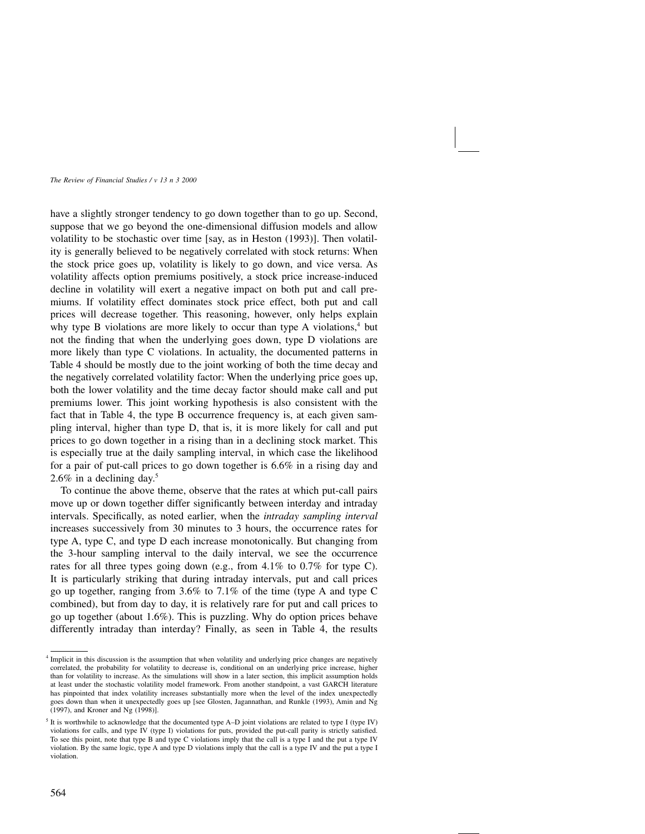have a slightly stronger tendency to go down together than to go up. Second, suppose that we go beyond the one-dimensional diffusion models and allow volatility to be stochastic over time [say, as in Heston (1993)]. Then volatility is generally believed to be negatively correlated with stock returns: When the stock price goes up, volatility is likely to go down, and vice versa. As volatility affects option premiums positively, a stock price increase-induced decline in volatility will exert a negative impact on both put and call premiums. If volatility effect dominates stock price effect, both put and call prices will decrease together. This reasoning, however, only helps explain why type B violations are more likely to occur than type A violations, $4$  but not the finding that when the underlying goes down, type D violations are more likely than type C violations. In actuality, the documented patterns in Table 4 should be mostly due to the joint working of both the time decay and the negatively correlated volatility factor: When the underlying price goes up, both the lower volatility and the time decay factor should make call and put premiums lower. This joint working hypothesis is also consistent with the fact that in Table 4, the type B occurrence frequency is, at each given sampling interval, higher than type D, that is, it is more likely for call and put prices to go down together in a rising than in a declining stock market. This is especially true at the daily sampling interval, in which case the likelihood for a pair of put-call prices to go down together is 6.6% in a rising day and 2.6% in a declining day. $5$ 

To continue the above theme, observe that the rates at which put-call pairs move up or down together differ significantly between interday and intraday intervals. Specifically, as noted earlier, when the intraday sampling interval increases successively from 30minutes to 3 hours, the occurrence rates for type A, type C, and type D each increase monotonically. But changing from the 3-hour sampling interval to the daily interval, we see the occurrence rates for all three types going down (e.g., from 4.1% to 0.7% for type C). It is particularly striking that during intraday intervals, put and call prices go up together, ranging from 3.6% to 7.1% of the time (type A and type C combined), but from day to day, it is relatively rare for put and call prices to go up together (about 1.6%). This is puzzling. Why do option prices behave differently intraday than interday? Finally, as seen in Table 4, the results

<sup>4</sup> Implicit in this discussion is the assumption that when volatility and underlying price changes are negatively correlated, the probability for volatility to decrease is, conditional on an underlying price increase, higher than for volatility to increase. As the simulations will show in a later section, this implicit assumption holds at least under the stochastic volatility model framework. From another standpoint, a vast GARCH literature has pinpointed that index volatility increases substantially more when the level of the index unexpectedly goes down than when it unexpectedly goes up [see Glosten, Jagannathan, and Runkle (1993), Amin and Ng (1997), and Kroner and Ng (1998)].

 $<sup>5</sup>$  It is worthwhile to acknowledge that the documented type A–D joint violations are related to type I (type IV)</sup> violations for calls, and type IV (type I) violations for puts, provided the put-call parity is strictly satisfied. To see this point, note that type B and type C violations imply that the call is a type I and the put a type IV violation. By the same logic, type A and type D violations imply that the call is a type IV and the put a type I violation.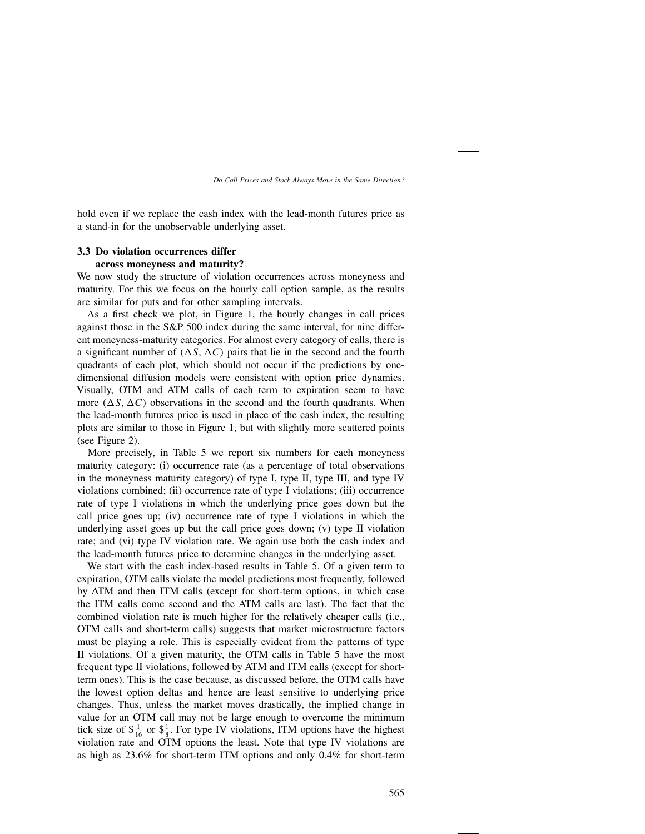hold even if we replace the cash index with the lead-month futures price as a stand-in for the unobservable underlying asset.

## **3.3 Do violation occurrences differ**

## **across moneyness and maturity?**

We now study the structure of violation occurrences across moneyness and maturity. For this we focus on the hourly call option sample, as the results are similar for puts and for other sampling intervals.

As a first check we plot, in Figure 1, the hourly changes in call prices against those in the S&P 500 index during the same interval, for nine different moneyness-maturity categories. For almost every category of calls, there is a significant number of  $(\Delta S, \Delta C)$  pairs that lie in the second and the fourth quadrants of each plot, which should not occur if the predictions by onedimensional diffusion models were consistent with option price dynamics. Visually, OTM and ATM calls of each term to expiration seem to have more  $(\Delta S, \Delta C)$  observations in the second and the fourth quadrants. When the lead-month futures price is used in place of the cash index, the resulting plots are similar to those in Figure 1, but with slightly more scattered points (see Figure 2).

More precisely, in Table 5 we report six numbers for each moneyness maturity category: (i) occurrence rate (as a percentage of total observations in the moneyness maturity category) of type I, type II, type III, and type IV violations combined; (ii) occurrence rate of type I violations; (iii) occurrence rate of type I violations in which the underlying price goes down but the call price goes up; (iv) occurrence rate of type I violations in which the underlying asset goes up but the call price goes down; (v) type II violation rate; and (vi) type IV violation rate. We again use both the cash index and the lead-month futures price to determine changes in the underlying asset.

We start with the cash index-based results in Table 5. Of a given term to expiration, OTM calls violate the model predictions most frequently, followed by ATM and then ITM calls (except for short-term options, in which case the ITM calls come second and the ATM calls are last). The fact that the combined violation rate is much higher for the relatively cheaper calls (i.e., OTM calls and short-term calls) suggests that market microstructure factors must be playing a role. This is especially evident from the patterns of type II violations. Of a given maturity, the OTM calls in Table 5 have the most frequent type II violations, followed by ATM and ITM calls (except for shortterm ones). This is the case because, as discussed before, the OTM calls have the lowest option deltas and hence are least sensitive to underlying price changes. Thus, unless the market moves drastically, the implied change in value for an OTM call may not be large enough to overcome the minimum tick size of  $\$\frac{1}{16}$  or  $\$\frac{1}{8}$ . For type IV violations, ITM options have the highest violation rate and OTM options the least. Note that type IV violations are as high as 23.6% for short-term ITM options and only 0.4% for short-term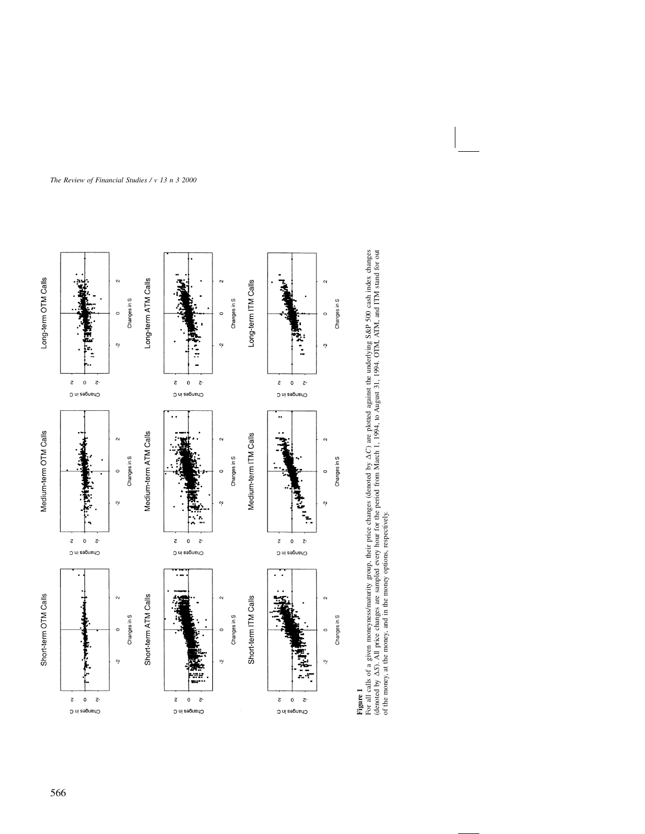

**Figure 1**<br>For all calls of a given moneyness/maturity group, their price changes (denoted by  $\Delta C$ ) are plotted against the underlying S&P 500 cash index changes<br>(denoted by  $\Delta S$ ). All price changes are sampled every hou For all calls of a given moneyness/maturity group, their price changes (denoted by C) are plotted against the underlying S&P 500 cash index changes (denoted by S). All price changes are sampled every hour for the period from March 1, 1994, to August 31, 1994. OTM, ATM, and ITM stand for out of the money, at the money, and in the money options, respectively. of the money, at the money, and in the money options, respectively.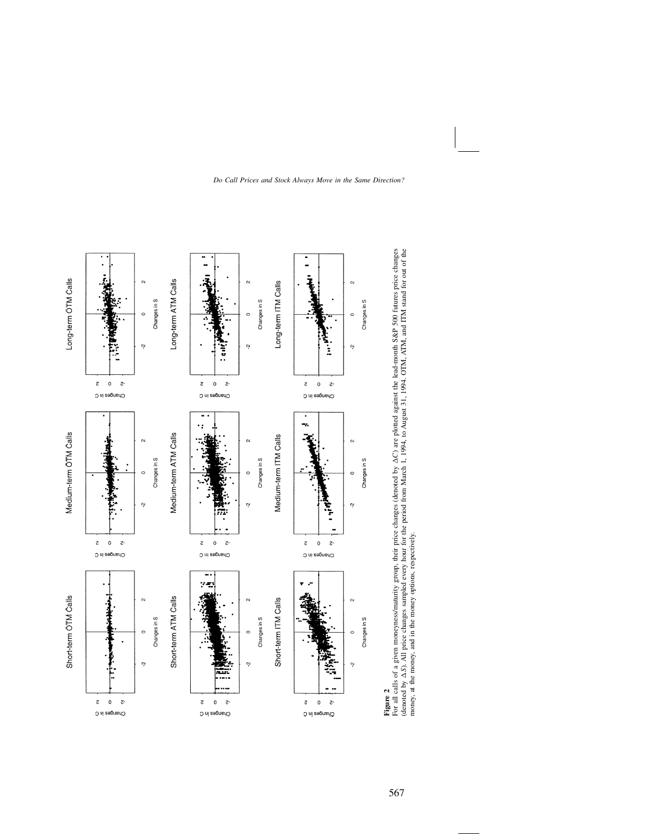

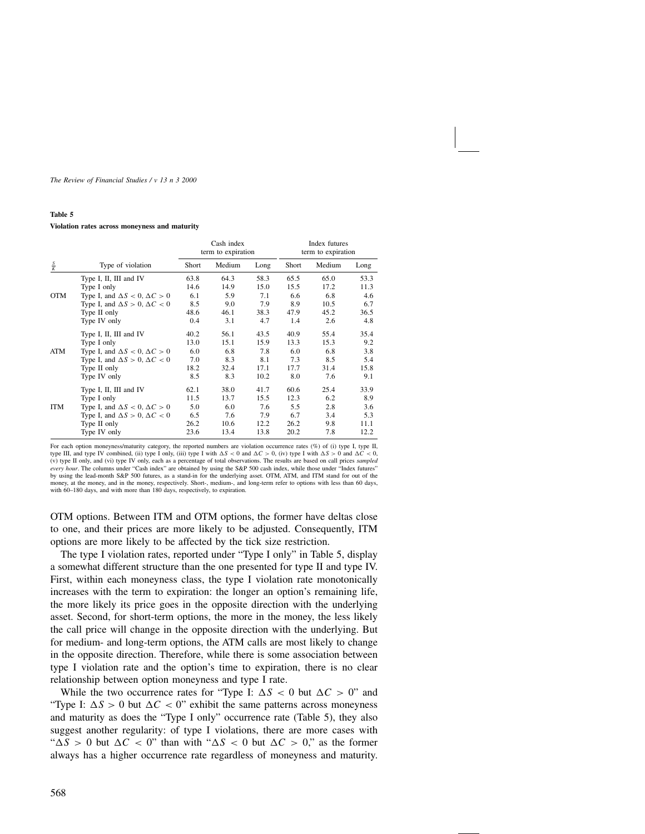#### **Table 5**

#### **Violation rates across moneyness and maturity**

|             |                                             |       | Cash index<br>term to expiration |      | Index futures<br>term to expiration |        |      |
|-------------|---------------------------------------------|-------|----------------------------------|------|-------------------------------------|--------|------|
| $rac{S}{K}$ | Type of violation                           | Short | Medium                           | Long | Short                               | Medium | Long |
|             | Type I, II, III and IV                      | 63.8  | 64.3                             | 58.3 | 65.5                                | 65.0   | 53.3 |
|             | Type I only                                 | 14.6  | 14.9                             | 15.0 | 15.5                                | 17.2   | 11.3 |
| <b>OTM</b>  | Type I, and $\Delta S < 0$ , $\Delta C > 0$ | 6.1   | 5.9                              | 7.1  | 6.6                                 | 6.8    | 4.6  |
|             | Type I, and $\Delta S > 0$ , $\Delta C < 0$ | 8.5   | 9.0                              | 7.9  | 8.9                                 | 10.5   | 6.7  |
|             | Type II only                                | 48.6  | 46.1                             | 38.3 | 47.9                                | 45.2   | 36.5 |
|             | Type IV only                                | 0.4   | 3.1                              | 4.7  | 1.4                                 | 2.6    | 4.8  |
|             | Type I, II, III and IV                      | 40.2  | 56.1                             | 43.5 | 40.9                                | 55.4   | 35.4 |
|             | Type I only                                 | 13.0  | 15.1                             | 15.9 | 13.3                                | 15.3   | 9.2  |
| ATM         | Type I, and $\Delta S < 0$ , $\Delta C > 0$ | 6.0   | 6.8                              | 7.8  | 6.0                                 | 6.8    | 3.8  |
|             | Type I, and $\Delta S > 0$ , $\Delta C < 0$ | 7.0   | 8.3                              | 8.1  | 7.3                                 | 8.5    | 5.4  |
|             | Type II only                                | 18.2  | 32.4                             | 17.1 | 17.7                                | 31.4   | 15.8 |
|             | Type IV only                                | 8.5   | 8.3                              | 10.2 | 8.0                                 | 7.6    | 9.1  |
|             | Type I, II, III and IV                      | 62.1  | 38.0                             | 41.7 | 60.6                                | 25.4   | 33.9 |
|             | Type I only                                 | 11.5  | 13.7                             | 15.5 | 12.3                                | 6.2    | 8.9  |
| <b>ITM</b>  | Type I, and $\Delta S < 0$ , $\Delta C > 0$ | 5.0   | 6.0                              | 7.6  | 5.5                                 | 2.8    | 3.6  |
|             | Type I, and $\Delta S > 0$ , $\Delta C < 0$ | 6.5   | 7.6                              | 7.9  | 6.7                                 | 3.4    | 5.3  |
|             | Type II only                                | 26.2  | 10.6                             | 12.2 | 26.2                                | 9.8    | 11.1 |
|             | Type IV only                                | 23.6  | 13.4                             | 13.8 | 20.2                                | 7.8    | 12.2 |

For each option moneyness/maturity category, the reported numbers are violation occurrence rates (%) of (i) type I, type II, type III, and type IV combined, (ii) type I only, (iii) type I with  $\Delta S < 0$  and  $\Delta C > 0$ , (iv) type I with  $\Delta S > 0$  and  $\Delta C < 0$ , (v) type II only, and (vi) type IV only, each as a percentage of total observations. The results are based on call prices sampled every hour. The columns under "Cash index" are obtained by using the S&P 500 cash index, while those under "Index futures" by using the lead-month S&P 500 futures, as a stand-in for the underlying asset. OTM, ATM, and ITM stand for out of the money, at the money, and in the money, respectively. Short-, medium-, and long-term refer to options with less than 60 days, with 60–180 days, and with more than 180 days, respectively, to expiration.

OTM options. Between ITM and OTM options, the former have deltas close to one, and their prices are more likely to be adjusted. Consequently, ITM options are more likely to be affected by the tick size restriction.

The type I violation rates, reported under "Type I only" in Table 5, display a somewhat different structure than the one presented for type II and type IV. First, within each moneyness class, the type I violation rate monotonically increases with the term to expiration: the longer an option's remaining life, the more likely its price goes in the opposite direction with the underlying asset. Second, for short-term options, the more in the money, the less likely the call price will change in the opposite direction with the underlying. But for medium- and long-term options, the ATM calls are most likely to change in the opposite direction. Therefore, while there is some association between type I violation rate and the option's time to expiration, there is no clear relationship between option moneyness and type I rate.

While the two occurrence rates for "Type I:  $\Delta S < 0$  but  $\Delta C > 0$ " and "Type I:  $\Delta S > 0$  but  $\Delta C < 0$ " exhibit the same patterns across moneyness and maturity as does the "Type I only" occurrence rate (Table 5), they also suggest another regularity: of type I violations, there are more cases with " $\Delta S > 0$  but  $\Delta C < 0$ " than with " $\Delta S < 0$  but  $\Delta C > 0$ ," as the former always has a higher occurrence rate regardless of moneyness and maturity.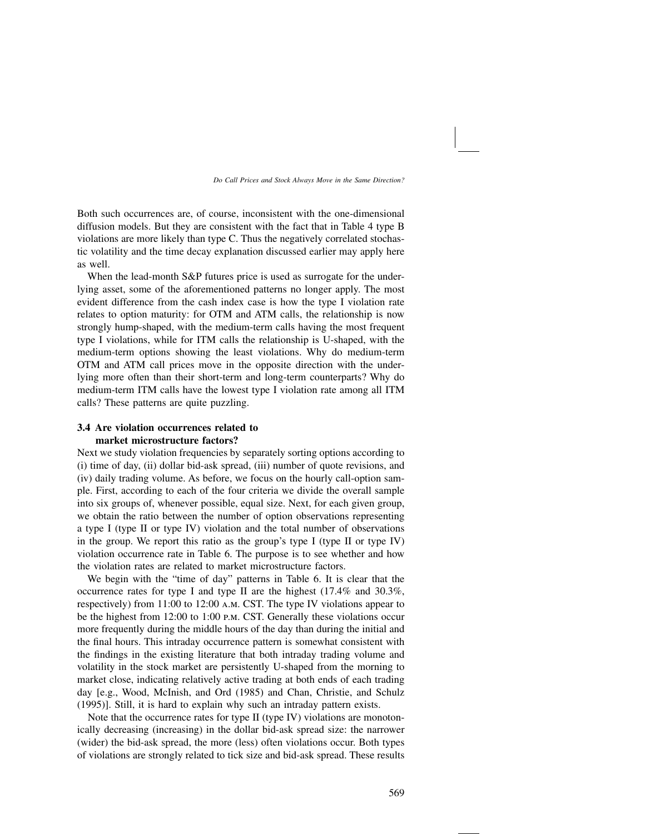Both such occurrences are, of course, inconsistent with the one-dimensional diffusion models. But they are consistent with the fact that in Table 4 type B violations are more likely than type C. Thus the negatively correlated stochastic volatility and the time decay explanation discussed earlier may apply here as well.

When the lead-month S&P futures price is used as surrogate for the underlying asset, some of the aforementioned patterns no longer apply. The most evident difference from the cash index case is how the type I violation rate relates to option maturity: for OTM and ATM calls, the relationship is now strongly hump-shaped, with the medium-term calls having the most frequent type I violations, while for ITM calls the relationship is U-shaped, with the medium-term options showing the least violations. Why do medium-term OTM and ATM call prices move in the opposite direction with the underlying more often than their short-term and long-term counterparts? Why do medium-term ITM calls have the lowest type I violation rate among all ITM calls? These patterns are quite puzzling.

## **3.4 Are violation occurrences related to market microstructure factors?**

Next we study violation frequencies by separately sorting options according to (i) time of day, (ii) dollar bid-ask spread, (iii) number of quote revisions, and (iv) daily trading volume. As before, we focus on the hourly call-option sample. First, according to each of the four criteria we divide the overall sample into six groups of, whenever possible, equal size. Next, for each given group, we obtain the ratio between the number of option observations representing a type I (type II or type IV) violation and the total number of observations in the group. We report this ratio as the group's type I (type II or type IV) violation occurrence rate in Table 6. The purpose is to see whether and how the violation rates are related to market microstructure factors.

We begin with the "time of day" patterns in Table 6. It is clear that the occurrence rates for type I and type II are the highest (17.4% and 30.3%, respectively) from 11:00 to 12:00 a.m. CST. The type IV violations appear to be the highest from 12:00 to 1:00 p.m. CST. Generally these violations occur more frequently during the middle hours of the day than during the initial and the final hours. This intraday occurrence pattern is somewhat consistent with the findings in the existing literature that both intraday trading volume and volatility in the stock market are persistently U-shaped from the morning to market close, indicating relatively active trading at both ends of each trading day [e.g., Wood, McInish, and Ord (1985) and Chan, Christie, and Schulz (1995)]. Still, it is hard to explain why such an intraday pattern exists.

Note that the occurrence rates for type II (type IV) violations are monotonically decreasing (increasing) in the dollar bid-ask spread size: the narrower (wider) the bid-ask spread, the more (less) often violations occur. Both types of violations are strongly related to tick size and bid-ask spread. These results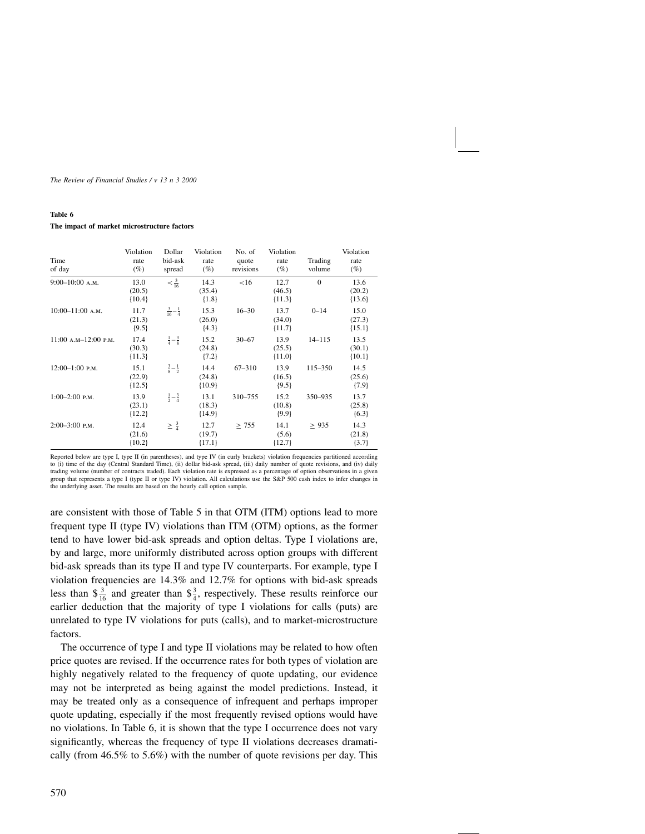| Time<br>of day         | Violation<br>rate<br>$(\%)$ | Dollar<br>bid-ask<br>spread  | Violation<br>rate<br>$(\%)$ | No. of<br>quote<br>revisions | Violation<br>rate<br>$(\%)$ | Trading<br>volume | Violation<br>rate<br>$(\%)$ |
|------------------------|-----------------------------|------------------------------|-----------------------------|------------------------------|-----------------------------|-------------------|-----------------------------|
| $9:00-10:00$ A.M.      | 13.0<br>(20.5)<br>${10.4}$  | $<\frac{3}{16}$              | 14.3<br>(35.4)<br>${1.8}$   | ${16}$                       | 12.7<br>(46.5)<br>${11.3}$  | $\Omega$          | 13.6<br>(20.2)<br>${13.6}$  |
| $10:00-11:00$ A.M.     | 11.7<br>(21.3)<br>${9.5}$   | $\frac{3}{16} - \frac{1}{4}$ | 15.3<br>(26.0)<br>${4.3}$   | $16 - 30$                    | 13.7<br>(34.0)<br>${11.7}$  | $0 - 14$          | 15.0<br>(27.3)<br>${15.1}$  |
| $11:00 A.M-12:00 P.M.$ | 17.4<br>(30.3)<br>${11.3}$  | $\frac{1}{4} - \frac{3}{8}$  | 15.2<br>(24.8)<br>${7.2}$   | $30 - 67$                    | 13.9<br>(25.5)<br>${11.0}$  | $14 - 115$        | 13.5<br>(30.1)<br>${10.1}$  |
| $12:00-1:00$ P.M.      | 15.1<br>(22.9)<br>${12.5}$  | $rac{3}{8} - \frac{1}{2}$    | 14.4<br>(24.8)<br>${10.9}$  | $67 - 310$                   | 13.9<br>(16.5)<br>${9.5}$   | 115-350           | 14.5<br>(25.6)<br>${7.9}$   |
| $1:00-2:00$ P.M.       | 13.9<br>(23.1)<br>${12.2}$  | $\frac{1}{2} - \frac{3}{4}$  | 13.1<br>(18.3)<br>${14.9}$  | 310-755                      | 15.2<br>(10.8)<br>${9.9}$   | 350-935           | 13.7<br>(25.8)<br>${6.3}$   |
| $2:00-3:00$ P.M.       | 12.4<br>(21.6)              | $\geq \frac{3}{4}$           | 12.7<br>(19.7)              | > 755                        | 14.1<br>(5.6)               | > 935             | 14.3<br>(21.8)              |

#### **Table 6**

#### **The impact of market microstructure factors**

Reported below are type I, type II (in parentheses), and type IV (in curly brackets) violation frequencies partitioned according to (i) time of the day (Central Standard Time), (ii) dollar bid-ask spread, (iii) daily number of quote revisions, and (iv) daily trading volume (number of contracts traded). Each violation rate is expressed as a percentage of option observations in a given group that represents a type I (type II or type IV) violation. All calculations use the S&P 500 cash index to infer changes in the underlying asset. The results are based on the hourly call option sample.

 ${10.2}$  {17.1}  ${17.1}$  {12.7} {3.7}

are consistent with those of Table 5 in that OTM (ITM) options lead to more frequent type II (type IV) violations than ITM (OTM) options, as the former tend to have lower bid-ask spreads and option deltas. Type I violations are, by and large, more uniformly distributed across option groups with different bid-ask spreads than its type II and type IV counterparts. For example, type I violation frequencies are 14.3% and 12.7% for options with bid-ask spreads less than  $\frac{3}{16}$  and greater than  $\frac{3}{4}$ , respectively. These results reinforce our earlier deduction that the majority of type I violations for calls (puts) are unrelated to type IV violations for puts (calls), and to market-microstructure factors.

The occurrence of type I and type II violations may be related to how often price quotes are revised. If the occurrence rates for both types of violation are highly negatively related to the frequency of quote updating, our evidence may not be interpreted as being against the model predictions. Instead, it may be treated only as a consequence of infrequent and perhaps improper quote updating, especially if the most frequently revised options would have no violations. In Table 6, it is shown that the type I occurrence does not vary significantly, whereas the frequency of type II violations decreases dramatically (from 46.5% to 5.6%) with the number of quote revisions per day. This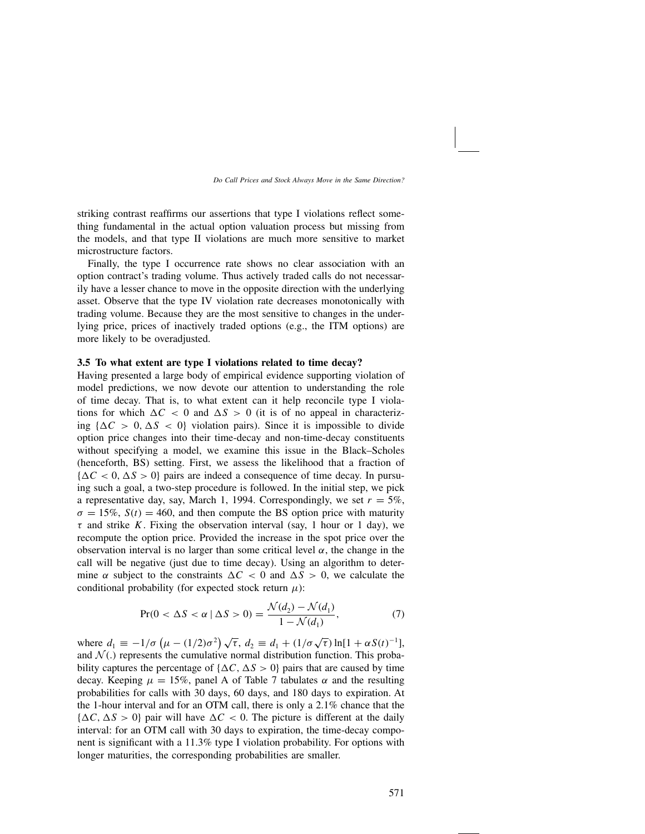striking contrast reaffirms our assertions that type I violations reflect something fundamental in the actual option valuation process but missing from the models, and that type II violations are much more sensitive to market microstructure factors.

Finally, the type I occurrence rate shows no clear association with an option contract's trading volume. Thus actively traded calls do not necessarily have a lesser chance to move in the opposite direction with the underlying asset. Observe that the type IV violation rate decreases monotonically with trading volume. Because they are the most sensitive to changes in the underlying price, prices of inactively traded options (e.g., the ITM options) are more likely to be overadjusted.

## **3.5 To what extent are type I violations related to time decay?**

Having presented a large body of empirical evidence supporting violation of model predictions, we now devote our attention to understanding the role of time decay. That is, to what extent can it help reconcile type I violations for which  $\Delta C < 0$  and  $\Delta S > 0$  (it is of no appeal in characterizing  $\{\Delta C > 0, \Delta S < 0\}$  violation pairs). Since it is impossible to divide option price changes into their time-decay and non-time-decay constituents without specifying a model, we examine this issue in the Black–Scholes (henceforth, BS) setting. First, we assess the likelihood that a fraction of  $\{\Delta C < 0, \Delta S > 0\}$  pairs are indeed a consequence of time decay. In pursuing such a goal, a two-step procedure is followed. In the initial step, we pick a representative day, say, March 1, 1994. Correspondingly, we set  $r = 5\%$ ,  $\sigma = 15\%, S(t) = 460$ , and then compute the BS option price with maturity  $\tau$  and strike K. Fixing the observation interval (say, 1 hour or 1 day), we recompute the option price. Provided the increase in the spot price over the observation interval is no larger than some critical level  $\alpha$ , the change in the call will be negative (just due to time decay). Using an algorithm to determine  $\alpha$  subject to the constraints  $\Delta C < 0$  and  $\Delta S > 0$ , we calculate the conditional probability (for expected stock return  $\mu$ ):

$$
\Pr(0 < \Delta S < \alpha \, | \, \Delta S > 0) = \frac{\mathcal{N}(d_2) - \mathcal{N}(d_1)}{1 - \mathcal{N}(d_1)},\tag{7}
$$

where  $d_1 \equiv -1/\sigma \left(\mu - (1/2)\sigma^2\right) \sqrt{\tau}, d_2 \equiv d_1 + (1/\sigma \sqrt{\tau}) \ln[1 + \alpha S(t)^{-1}],$ and  $\mathcal{N}$ (.) represents the cumulative normal distribution function. This probability captures the percentage of  $\{\Delta C, \Delta S > 0\}$  pairs that are caused by time decay. Keeping  $\mu = 15\%$ , panel A of Table 7 tabulates  $\alpha$  and the resulting probabilities for calls with 30 days, 60 days, and 180 days to expiration. At the 1-hour interval and for an OTM call, there is only a 2.1% chance that the  $\{\Delta C, \Delta S > 0\}$  pair will have  $\Delta C < 0$ . The picture is different at the daily interval: for an OTM call with 30 days to expiration, the time-decay component is significant with a 11.3% type I violation probability. For options with longer maturities, the corresponding probabilities are smaller.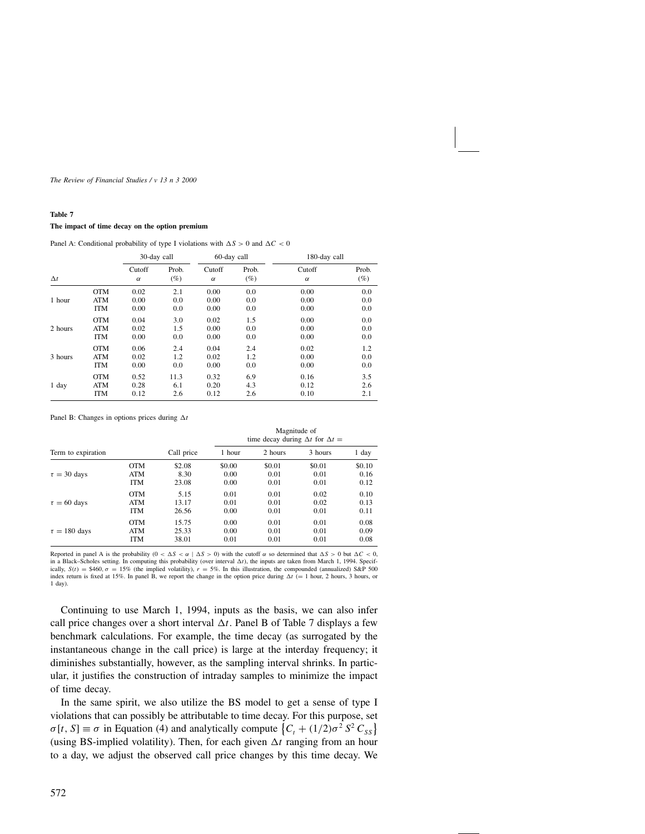#### **Table 7**

#### **The impact of time decay on the option premium**

|            |            | 30-day call        |                 | 60-day call        |                 | 180-day call       |                 |  |
|------------|------------|--------------------|-----------------|--------------------|-----------------|--------------------|-----------------|--|
| $\Delta t$ |            | Cutoff<br>$\alpha$ | Prob.<br>$(\%)$ | Cutoff<br>$\alpha$ | Prob.<br>$(\%)$ | Cutoff<br>$\alpha$ | Prob.<br>$(\%)$ |  |
| 1 hour     | <b>OTM</b> | 0.02               | 2.1             | 0.00               | 0.0             | 0.00               | 0.0             |  |
|            | ATM        | 0.00               | 0.0             | 0.00               | 0.0             | 0.00               | 0.0             |  |
| 2 hours    | <b>ITM</b> | 0.00               | 0.0             | 0.00               | 0.0             | 0.00               | 0.0             |  |
|            | <b>OTM</b> | 0.04               | 3.0             | 0.02               | 1.5             | 0.00               | 0.0             |  |
|            | ATM        | 0.02               | 1.5             | 0.00               | 0.0             | 0.00               | 0.0             |  |
|            | <b>ITM</b> | 0.00               | 0.0             | 0.00               | 0.0             | 0.00               | 0.0             |  |
| 3 hours    | <b>OTM</b> | 0.06               | 2.4             | 0.04               | 2.4             | 0.02               | 1.2             |  |
|            | <b>ATM</b> | 0.02               | 1.2             | 0.02               | 1.2             | 0.00               | 0.0             |  |
|            | <b>ITM</b> | 0.00               | 0.0             | 0.00               | 0.0             | 0.00               | 0.0             |  |
| 1 day      | <b>OTM</b> | 0.52               | 11.3            | 0.32               | 6.9             | 0.16               | 3.5             |  |
|            | ATM        | 0.28               | 6.1             | 0.20               | 4.3             | 0.12               | 2.6             |  |
|            | <b>ITM</b> | 0.12               | 2.6             | 0.12               | 2.6             | 0.10               | 2.1             |  |

Panel A: Conditional probability of type I violations with  $\Delta S > 0$  and  $\Delta C < 0$ 

Panel B: Changes in options prices during  $\Delta t$ 

|                    |            |            |        | Magnitude of<br>time decay during $\Delta t$ for $\Delta t =$ |         |        |  |  |
|--------------------|------------|------------|--------|---------------------------------------------------------------|---------|--------|--|--|
| Term to expiration |            | Call price | 1 hour | 2 hours                                                       | 3 hours | 1 day  |  |  |
|                    | <b>OTM</b> | \$2.08     | \$0.00 | \$0.01                                                        | \$0.01  | \$0.10 |  |  |
| $\tau = 30$ days   | <b>ATM</b> | 8.30       | 0.00   | 0.01                                                          | 0.01    | 0.16   |  |  |
|                    | <b>ITM</b> | 23.08      | 0.00   | 0.01                                                          | 0.01    | 0.12   |  |  |
|                    | <b>OTM</b> | 5.15       | 0.01   | 0.01                                                          | 0.02    | 0.10   |  |  |
| $\tau = 60$ days   | ATM        | 13.17      | 0.01   | 0.01                                                          | 0.02    | 0.13   |  |  |
|                    | <b>ITM</b> | 26.56      | 0.00   | 0.01                                                          | 0.01    | 0.11   |  |  |
|                    | <b>OTM</b> | 15.75      | 0.00   | 0.01                                                          | 0.01    | 0.08   |  |  |
| $\tau = 180$ days  | ATM        | 25.33      | 0.00   | 0.01                                                          | 0.01    | 0.09   |  |  |
|                    | <b>ITM</b> | 38.01      | 0.01   | 0.01                                                          | 0.01    | 0.08   |  |  |

Reported in panel A is the probability  $(0 < \Delta S < \alpha \mid \Delta S > 0)$  with the cutoff  $\alpha$  so determined that  $\Delta S > 0$  but  $\Delta C < 0$ , in a Black–Scholes setting. In computing this probability (over interval  $\Delta t$ ), the inputs are taken from March 1, 1994. Specif-<br>ically,  $S(t) = $460$ ,  $\sigma = 15\%$  (the implied volatility),  $r = 5\%$ . In this illustration, th index return is fixed at 15%. In panel B, we report the change in the option price during  $\Delta t$  (= 1 hour, 2 hours, 3 hours, or 1 day).

Continuing to use March 1, 1994, inputs as the basis, we can also infer call price changes over a short interval  $\Delta t$ . Panel B of Table 7 displays a few benchmark calculations. For example, the time decay (as surrogated by the instantaneous change in the call price) is large at the interday frequency; it diminishes substantially, however, as the sampling interval shrinks. In particular, it justifies the construction of intraday samples to minimize the impact of time decay.

In the same spirit, we also utilize the BS model to get a sense of type I violations that can possibly be attributable to time decay. For this purpose, set  $\sigma[t, S] \equiv \sigma$  in Equation (4) and analytically compute  $\{C_t + (1/2)\sigma^2 S^2 C_{SS}\}\$ (using BS-implied volatility). Then, for each given  $\Delta t$  ranging from an hour to a day, we adjust the observed call price changes by this time decay. We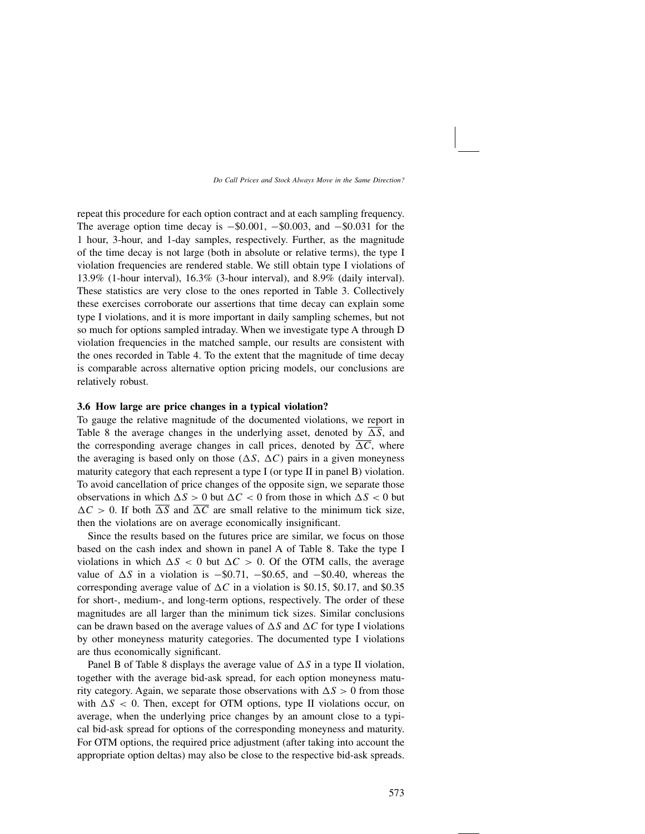repeat this procedure for each option contract and at each sampling frequency. The average option time decay is  $-$ \$0.001,  $-$ \$0.003, and  $-$ \$0.031 for the 1 hour, 3-hour, and 1-day samples, respectively. Further, as the magnitude of the time decay is not large (both in absolute or relative terms), the type I violation frequencies are rendered stable. We still obtain type I violations of 13.9% (1-hour interval), 16.3% (3-hour interval), and 8.9% (daily interval). These statistics are very close to the ones reported in Table 3. Collectively these exercises corroborate our assertions that time decay can explain some type I violations, and it is more important in daily sampling schemes, but not so much for options sampled intraday. When we investigate type A through D violation frequencies in the matched sample, our results are consistent with the ones recorded in Table 4. To the extent that the magnitude of time decay is comparable across alternative option pricing models, our conclusions are relatively robust.

## **3.6 How large are price changes in a typical violation?**

To gauge the relative magnitude of the documented violations, we report in Table 8 the average changes in the underlying asset, denoted by  $\overline{\Delta S}$ , and the corresponding average changes in call prices, denoted by  $\overline{\Delta C}$ , where the averaging is based only on those  $(\Delta S, \Delta C)$  pairs in a given moneyness maturity category that each represent a type I (or type II in panel B) violation. To avoid cancellation of price changes of the opposite sign, we separate those observations in which  $\Delta S > 0$  but  $\Delta C < 0$  from those in which  $\Delta S < 0$  but  $\Delta C > 0$ . If both  $\overline{\Delta S}$  and  $\overline{\Delta C}$  are small relative to the minimum tick size, then the violations are on average economically insignificant.

Since the results based on the futures price are similar, we focus on those based on the cash index and shown in panel A of Table 8. Take the type I violations in which  $\Delta S < 0$  but  $\Delta C > 0$ . Of the OTM calls, the average value of  $\Delta S$  in a violation is -\$0.71, -\$0.65, and -\$0.40, whereas the corresponding average value of  $\Delta C$  in a violation is \$0.15, \$0.17, and \$0.35 for short-, medium-, and long-term options, respectively. The order of these magnitudes are all larger than the minimum tick sizes. Similar conclusions can be drawn based on the average values of  $\Delta S$  and  $\Delta C$  for type I violations by other moneyness maturity categories. The documented type I violations are thus economically significant.

Panel B of Table 8 displays the average value of  $\Delta S$  in a type II violation, together with the average bid-ask spread, for each option moneyness maturity category. Again, we separate those observations with  $\Delta S > 0$  from those with  $\Delta S < 0$ . Then, except for OTM options, type II violations occur, on average, when the underlying price changes by an amount close to a typical bid-ask spread for options of the corresponding moneyness and maturity. For OTM options, the required price adjustment (after taking into account the appropriate option deltas) may also be close to the respective bid-ask spreads.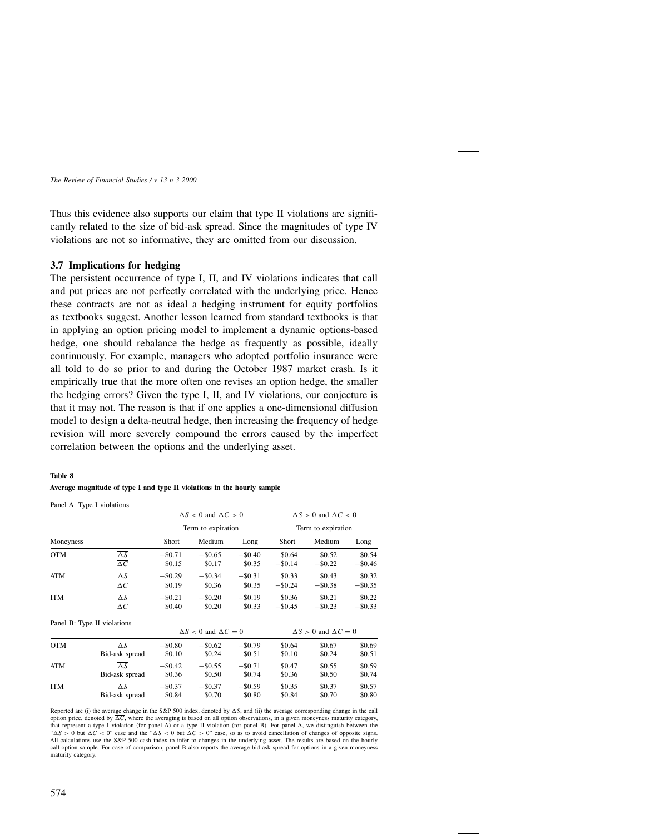Thus this evidence also supports our claim that type II violations are significantly related to the size of bid-ask spread. Since the magnitudes of type IV violations are not so informative, they are omitted from our discussion.

## **3.7 Implications for hedging**

The persistent occurrence of type I, II, and IV violations indicates that call and put prices are not perfectly correlated with the underlying price. Hence these contracts are not as ideal a hedging instrument for equity portfolios as textbooks suggest. Another lesson learned from standard textbooks is that in applying an option pricing model to implement a dynamic options-based hedge, one should rebalance the hedge as frequently as possible, ideally continuously. For example, managers who adopted portfolio insurance were all told to do so prior to and during the October 1987 market crash. Is it empirically true that the more often one revises an option hedge, the smaller the hedging errors? Given the type I, II, and IV violations, our conjecture is that it may not. The reason is that if one applies a one-dimensional diffusion model to design a delta-neutral hedge, then increasing the frequency of hedge revision will more severely compound the errors caused by the imperfect correlation between the options and the underlying asset.

#### **Table 8**

|            |                                        |            | $\Delta S < 0$ and $\Delta C > 0$ |            |            | $\Delta S > 0$ and $\Delta C < 0$ |            |
|------------|----------------------------------------|------------|-----------------------------------|------------|------------|-----------------------------------|------------|
|            |                                        |            | Term to expiration                |            |            | Term to expiration                |            |
| Moneyness  |                                        | Short      | Medium                            | Long       | Short      | Medium                            | Long       |
| <b>OTM</b> | $\overline{\Delta S}$                  | $-$ \$0.71 | $-$ \$0.65                        | $-$ \$0.40 | \$0.64     | \$0.52                            | \$0.54     |
|            | $\overline{\Delta C}$                  | \$0.15     | \$0.17                            | \$0.35     | $-$ \$0.14 | $-$ \$0.22                        | $-$ \$0.46 |
| <b>ATM</b> | $\frac{\overline{\Delta S}}{\Delta C}$ | $-$ \$0.29 | $-$ \$0.34                        | $-$ \$0.31 | \$0.33     | \$0.43                            | \$0.32     |
|            |                                        | \$0.19     | \$0.36                            | \$0.35     | $-$ \$0.24 | $-$ \$0.38                        | $-$ \$0.35 |
| <b>ITM</b> | $\overline{\Delta S}$                  | $-$ \$0.21 | $-$ \$0.20                        | $-$ \$0.19 | \$0.36     | \$0.21                            | \$0.22     |
|            | $\overline{\Delta C}$                  | \$0.40     | \$0.20                            | \$0.33     | $-$ \$0.45 | $-$ \$0.23                        | $-$ \$0.33 |
|            | Panel B: Type II violations            |            |                                   |            |            |                                   |            |
|            |                                        |            | $\Delta S < 0$ and $\Delta C = 0$ |            |            | $\Delta S > 0$ and $\Delta C = 0$ |            |
| <b>OTM</b> | $\overline{\Delta S}$                  | $-$ \$0.80 | $-$ \$0.62                        | $-$ \$0.79 | \$0.64     | \$0.67                            | \$0.69     |
|            | Bid-ask spread                         | \$0.10     | \$0.24                            | \$0.51     | \$0.10     | \$0.24                            | \$0.51     |
| ATM        | $\overline{\Delta S}$                  | $-$ \$0.42 | $-$ \$0.55                        | $-$ \$0.71 | \$0.47     | \$0.55                            | \$0.59     |
|            | Bid-ask spread                         | \$0.36     | \$0.50                            | \$0.74     | \$0.36     | \$0.50                            | \$0.74     |
| <b>ITM</b> | $\overline{\Delta S}$                  | $-$ \$0.37 | $-$ \$0.37                        | $-$ \$0.59 | \$0.35     | \$0.37                            | \$0.57     |
|            | Bid-ask spread                         | \$0.84     | \$0.70                            | \$0.80     | \$0.84     | \$0.70                            | \$0.80     |

#### **Average magnitude of type I and type II violations in the hourly sample**

Panel A: Type I violations

Reported are (i) the average change in the S&P 500 index, denoted by  $\overline{\Delta S}$ , and (ii) the average corresponding change in the call option price, denoted by  $\overline{\Delta C}$ , where the averaging is based on all option observations, in a given moneyness maturity category, that represent a type I violation (for panel A) or a type II violation (for panel B). For panel A, we distinguish between the " $\Delta S > 0$  but  $\Delta C < 0$ " case and the " $\Delta S < 0$  but  $\Delta C > 0$ " case, so as to avoid cancellation of changes of opposite signs. All calculations use the S&P 500 cash index to infer to changes in the underlying asset. The results are based on the hourly call-option sample. For case of comparison, panel B also reports the average bid-ask spread for options in a given moneyness maturity category.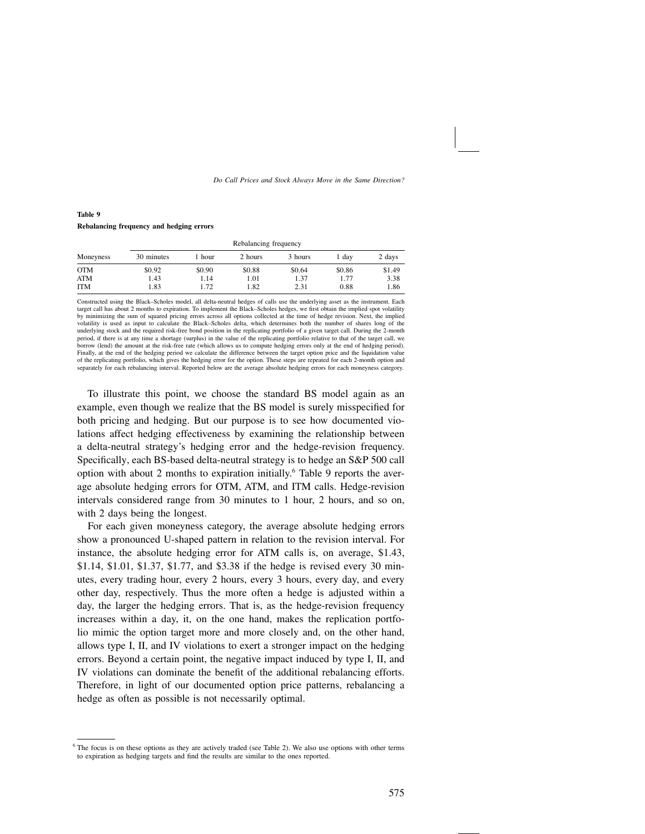|            |            |        | Rebalancing frequency |         |        |        |
|------------|------------|--------|-----------------------|---------|--------|--------|
| Moneyness  | 30 minutes | hour   | 2 hours               | 3 hours | 1 day  | 2 days |
| <b>OTM</b> | \$0.92     | \$0.90 | \$0.88                | \$0.64  | \$0.86 | \$1.49 |
| <b>ATM</b> | 1.43       | 1.14   | 1.01                  | 1.37    | 1.77   | 3.38   |
| <b>ITM</b> | 1.83       | 1.72   | 1.82                  | 2.31    | 0.88   | 1.86   |

## **Table 9 Rebalancing frequency and hedging errors**

Constructed using the Black–Scholes model, all delta-neutral hedges of calls use the underlying asset as the instrument. Each target call has about 2 months to expiration. To implement the Black–Scholes hedges, we first obtain the implied spot volatility by minimizing the sum of squared pricing errors across all options collected at the time of hedge revision. Next, the implied<br>volatility is used as input to calculate the Black–Scholes delta, which determines both the numb underlying stock and the required risk-free bond position in the replicating portfolio of a given target call. During the 2-month period, if there is at any time a shortage (surplus) in the value of the replicating portfolio relative to that of the target call, we borrow (lend) the amount at the risk-free rate (which allows us to compute hedging errors only at the end of hedging period). Finally, at the end of the hedging period we calculate the difference between the target option price and the liquidation value of the replicating portfolio, which gives the hedging error for the option. These steps are repeated for each 2-month option and separately for each rebalancing interval. Reported below are the average absolute hedging errors for each moneyness category.

To illustrate this point, we choose the standard BS model again as an example, even though we realize that the BS model is surely misspecified for both pricing and hedging. But our purpose is to see how documented violations affect hedging effectiveness by examining the relationship between a delta-neutral strategy's hedging error and the hedge-revision frequency. Specifically, each BS-based delta-neutral strategy is to hedge an S&P 500 call option with about 2 months to expiration initially.<sup>6</sup> Table 9 reports the average absolute hedging errors for OTM, ATM, and ITM calls. Hedge-revision intervals considered range from 30minutes to 1 hour, 2 hours, and so on, with 2 days being the longest.

For each given moneyness category, the average absolute hedging errors show a pronounced U-shaped pattern in relation to the revision interval. For instance, the absolute hedging error for ATM calls is, on average, \$1.43, \$1.14, \$1.01, \$1.37, \$1.77, and \$3.38 if the hedge is revised every 30 minutes, every trading hour, every 2 hours, every 3 hours, every day, and every other day, respectively. Thus the more often a hedge is adjusted within a day, the larger the hedging errors. That is, as the hedge-revision frequency increases within a day, it, on the one hand, makes the replication portfolio mimic the option target more and more closely and, on the other hand, allows type I, II, and IV violations to exert a stronger impact on the hedging errors. Beyond a certain point, the negative impact induced by type I, II, and IV violations can dominate the benefit of the additional rebalancing efforts. Therefore, in light of our documented option price patterns, rebalancing a hedge as often as possible is not necessarily optimal.

<sup>6</sup> The focus is on these options as they are actively traded (see Table 2). We also use options with other terms to expiration as hedging targets and find the results are similar to the ones reported.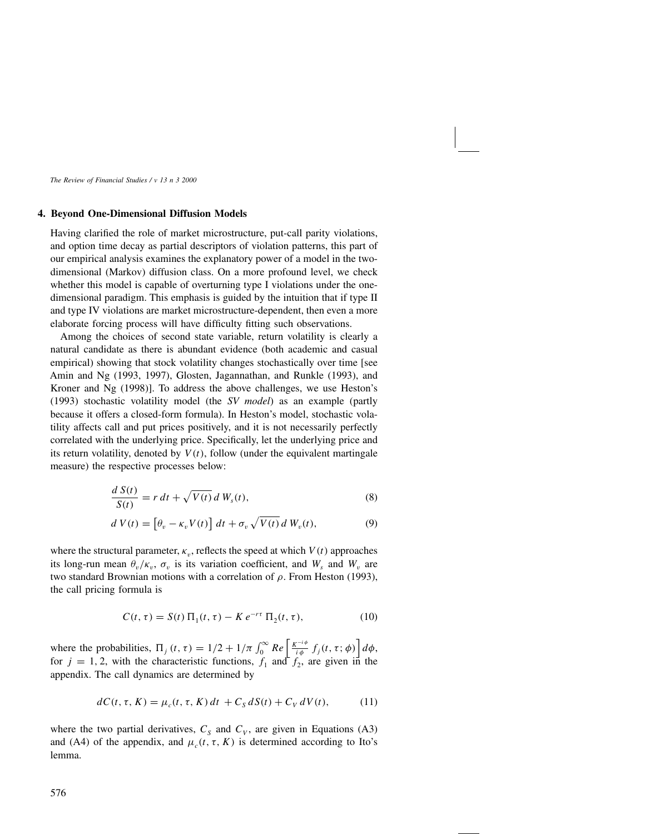#### **4. Beyond One-Dimensional Diffusion Models**

Having clarified the role of market microstructure, put-call parity violations, and option time decay as partial descriptors of violation patterns, this part of our empirical analysis examines the explanatory power of a model in the twodimensional (Markov) diffusion class. On a more profound level, we check whether this model is capable of overturning type I violations under the onedimensional paradigm. This emphasis is guided by the intuition that if type II and type IV violations are market microstructure-dependent, then even a more elaborate forcing process will have difficulty fitting such observations.

Among the choices of second state variable, return volatility is clearly a natural candidate as there is abundant evidence (both academic and casual empirical) showing that stock volatility changes stochastically over time [see Amin and Ng (1993, 1997), Glosten, Jagannathan, and Runkle (1993), and Kroner and Ng (1998)]. To address the above challenges, we use Heston's (1993) stochastic volatility model (the SV model) as an example (partly because it offers a closed-form formula). In Heston's model, stochastic volatility affects call and put prices positively, and it is not necessarily perfectly correlated with the underlying price. Specifically, let the underlying price and its return volatility, denoted by  $V(t)$ , follow (under the equivalent martingale measure) the respective processes below:

$$
\frac{d S(t)}{S(t)} = r dt + \sqrt{V(t)} d W_s(t),
$$
\n(8)

$$
d\,V(t) = \left[\theta_v - \kappa_v V(t)\right]dt + \sigma_v \sqrt{V(t)}\,d\,W_v(t),\tag{9}
$$

where the structural parameter,  $\kappa_v$ , reflects the speed at which  $V(t)$  approaches its long-run mean  $\theta_v/\kappa_v$ ,  $\sigma_v$  is its variation coefficient, and  $W_s$  and  $W_v$  are two standard Brownian motions with a correlation of  $ρ$ . From Heston (1993), the call pricing formula is

$$
C(t, \tau) = S(t) \Pi_1(t, \tau) - K e^{-r\tau} \Pi_2(t, \tau),
$$
 (10)

where the probabilities,  $\Pi_j(t, \tau) = 1/2 + 1/\pi \int_0^{\infty} Re \left[ \frac{K^{-i\phi}}{i\phi} f_j(t, \tau; \phi) \right] d\phi$ , for  $j = 1, 2$ , with the characteristic functions,  $f_1$  and  $f_2$ , are given in the appendix. The call dynamics are determined by

$$
dC(t, \tau, K) = \mu_c(t, \tau, K) dt + C_S dS(t) + C_V dV(t), \qquad (11)
$$

where the two partial derivatives,  $C_s$  and  $C_V$ , are given in Equations (A3) and (A4) of the appendix, and  $\mu_c(t, \tau, K)$  is determined according to Ito's lemma.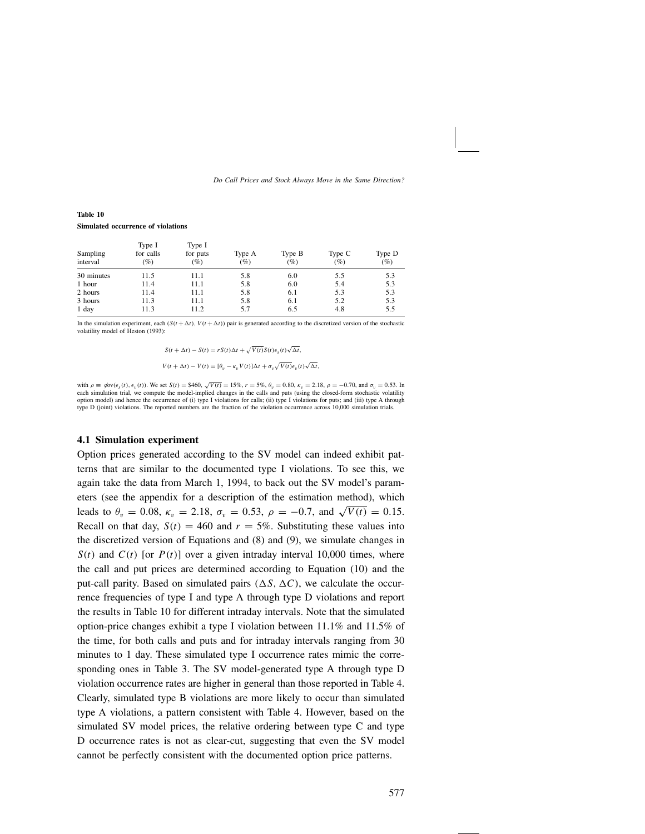| Sampling<br>interval | Type I<br>for calls<br>$(\%)$ | Type I<br>for puts<br>(%) | Type A<br>$\mathscr{G}_o$ | Type B<br>(%) | Type C<br>$(\%)$ | Type D<br>$(\%)$ |
|----------------------|-------------------------------|---------------------------|---------------------------|---------------|------------------|------------------|
| 30 minutes           | 11.5                          | 11.1                      | 5.8                       | 6.0           | 5.5              | 5.3              |
| 1 hour               | 11.4                          | 11.1                      | 5.8                       | 6.0           | 5.4              | 5.3              |
| 2 hours              | 11.4                          | 11.1                      | 5.8                       | 6.1           | 5.3              | 5.3              |
| 3 hours              | 11.3                          | 11.1                      | 5.8                       | 6.1           | 5.2              | 5.3              |
| 1 day                | 11.3                          | 11.2                      | 5.7                       | 6.5           | 4.8              | 5.5              |

## **Table 10 Simulated occurrence of violations**

In the simulation experiment, each  $(S(t + \Delta t), V(t + \Delta t))$  pair is generated according to the discretized version of the stochastic volatility model of Heston (1993):

$$
S(t + \Delta t) - S(t) = rS(t)\Delta t + \sqrt{V(t)}S(t)\epsilon_s(t)\sqrt{\Delta t},
$$
  

$$
V(t + \Delta t) - V(t) = [\theta_v - \kappa_v V(t)]\Delta t + \sigma_v\sqrt{V(t)}\epsilon_v(t)\sqrt{\Delta t},
$$

with  $\rho = \phi \text{ov}(\epsilon_s(t), \epsilon_v(t))$ . We set  $S(t) = $460$ ,  $\sqrt{V(t)} = 15\%$ ,  $r = 5\%$ ,  $\theta_v = 0.80$ ,  $\kappa_v = 2.18$ ,  $\rho = -0.70$ , and  $\sigma_v = 0.53$ . In each simulation trial, we compute the model-implied changes in the calls and puts (using the closed-form stochastic volatility option model) and hence the occurrence of (i) type I violations for calls; (ii) type I violations for puts; and (iii) type A through type D (joint) violations. The reported numbers are the fraction of the violation occurrence across 10,000 simulation trials.

## **4.1 Simulation experiment**

Option prices generated according to the SV model can indeed exhibit patterns that are similar to the documented type I violations. To see this, we again take the data from March 1, 1994, to back out the SV model's parameters (see the appendix for a description of the estimation method), which leads to  $\theta_v = 0.08$ ,  $\kappa_v = 2.18$ ,  $\sigma_v = 0.53$ ,  $\rho = -0.7$ , and  $\sqrt{V(t)} = 0.15$ . Recall on that day,  $S(t) = 460$  and  $r = 5%$ . Substituting these values into the discretized version of Equations and (8) and (9), we simulate changes in  $S(t)$  and  $C(t)$  [or  $P(t)$ ] over a given intraday interval 10,000 times, where the call and put prices are determined according to Equation (10) and the put-call parity. Based on simulated pairs  $(\Delta S, \Delta C)$ , we calculate the occurrence frequencies of type I and type A through type D violations and report the results in Table 10 for different intraday intervals. Note that the simulated option-price changes exhibit a type I violation between 11.1% and 11.5% of the time, for both calls and puts and for intraday intervals ranging from 30 minutes to 1 day. These simulated type I occurrence rates mimic the corresponding ones in Table 3. The SV model-generated type A through type D violation occurrence rates are higher in general than those reported in Table 4. Clearly, simulated type B violations are more likely to occur than simulated type A violations, a pattern consistent with Table 4. However, based on the simulated SV model prices, the relative ordering between type C and type D occurrence rates is not as clear-cut, suggesting that even the SV model cannot be perfectly consistent with the documented option price patterns.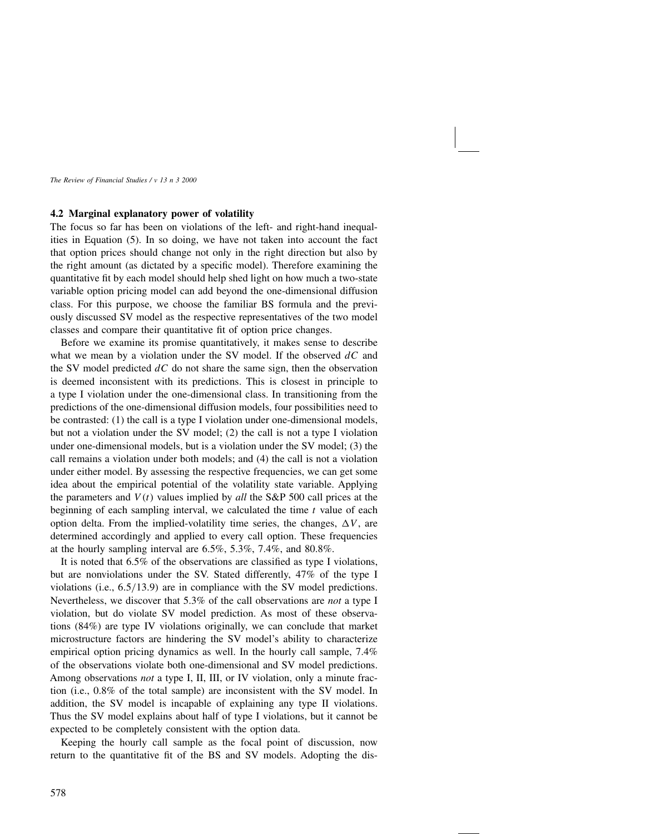## **4.2 Marginal explanatory power of volatility**

The focus so far has been on violations of the left- and right-hand inequalities in Equation (5). In so doing, we have not taken into account the fact that option prices should change not only in the right direction but also by the right amount (as dictated by a specific model). Therefore examining the quantitative fit by each model should help shed light on how much a two-state variable option pricing model can add beyond the one-dimensional diffusion class. For this purpose, we choose the familiar BS formula and the previously discussed SV model as the respective representatives of the two model classes and compare their quantitative fit of option price changes.

Before we examine its promise quantitatively, it makes sense to describe what we mean by a violation under the SV model. If the observed  $dC$  and the SV model predicted  $dC$  do not share the same sign, then the observation is deemed inconsistent with its predictions. This is closest in principle to a type I violation under the one-dimensional class. In transitioning from the predictions of the one-dimensional diffusion models, four possibilities need to be contrasted: (1) the call is a type I violation under one-dimensional models, but not a violation under the SV model; (2) the call is not a type I violation under one-dimensional models, but is a violation under the SV model; (3) the call remains a violation under both models; and (4) the call is not a violation under either model. By assessing the respective frequencies, we can get some idea about the empirical potential of the volatility state variable. Applying the parameters and  $V(t)$  values implied by *all* the S&P 500 call prices at the beginning of each sampling interval, we calculated the time  $t$  value of each option delta. From the implied-volatility time series, the changes,  $\Delta V$ , are determined accordingly and applied to every call option. These frequencies at the hourly sampling interval are 6.5%, 5.3%, 7.4%, and 80.8%.

It is noted that 6.5% of the observations are classified as type I violations, but are nonviolations under the SV. Stated differently, 47% of the type I violations (i.e., 6.5/13.9) are in compliance with the SV model predictions. Nevertheless, we discover that 5.3% of the call observations are not a type I violation, but do violate SV model prediction. As most of these observations (84%) are type IV violations originally, we can conclude that market microstructure factors are hindering the SV model's ability to characterize empirical option pricing dynamics as well. In the hourly call sample, 7.4% of the observations violate both one-dimensional and SV model predictions. Among observations *not* a type I, II, III, or IV violation, only a minute fraction (i.e., 0.8% of the total sample) are inconsistent with the SV model. In addition, the SV model is incapable of explaining any type II violations. Thus the SV model explains about half of type I violations, but it cannot be expected to be completely consistent with the option data.

Keeping the hourly call sample as the focal point of discussion, now return to the quantitative fit of the BS and SV models. Adopting the dis-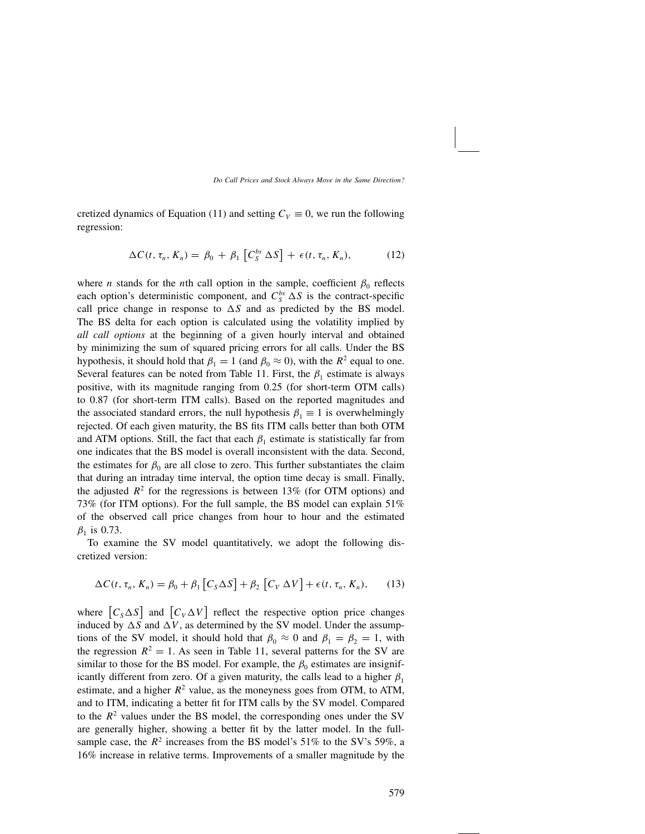cretized dynamics of Equation (11) and setting  $C_V \equiv 0$ , we run the following regression:

$$
\Delta C(t, \tau_n, K_n) = \beta_0 + \beta_1 \left[ C_S^{bs} \Delta S \right] + \epsilon(t, \tau_n, K_n), \tag{12}
$$

where *n* stands for the *n*th call option in the sample, coefficient  $\beta_0$  reflects each option's deterministic component, and  $C_S^{bs}$   $\Delta S$  is the contract-specific call price change in response to  $\Delta S$  and as predicted by the BS model. The BS delta for each option is calculated using the volatility implied by all call options at the beginning of a given hourly interval and obtained by minimizing the sum of squared pricing errors for all calls. Under the BS hypothesis, it should hold that  $\beta_1 = 1$  (and  $\beta_0 \approx 0$ ), with the  $R^2$  equal to one. Several features can be noted from Table 11. First, the  $\beta_1$  estimate is always positive, with its magnitude ranging from 0.25 (for short-term OTM calls) to 0.87 (for short-term ITM calls). Based on the reported magnitudes and the associated standard errors, the null hypothesis  $\beta_1 \equiv 1$  is overwhelmingly rejected. Of each given maturity, the BS fits ITM calls better than both OTM and ATM options. Still, the fact that each  $\beta_1$  estimate is statistically far from one indicates that the BS model is overall inconsistent with the data. Second, the estimates for  $\beta_0$  are all close to zero. This further substantiates the claim that during an intraday time interval, the option time decay is small. Finally, the adjusted  $R^2$  for the regressions is between 13% (for OTM options) and 73% (for ITM options). For the full sample, the BS model can explain 51% of the observed call price changes from hour to hour and the estimated  $\beta_1$  is 0.73.

To examine the SV model quantitatively, we adopt the following discretized version:

$$
\Delta C(t, \tau_n, K_n) = \beta_0 + \beta_1 \left[ C_S \Delta S \right] + \beta_2 \left[ C_V \Delta V \right] + \epsilon(t, \tau_n, K_n), \tag{13}
$$

where  $[C_s \Delta S]$  and  $[C_v \Delta V]$  reflect the respective option price changes induced by  $\Delta S$  and  $\Delta V$ , as determined by the SV model. Under the assumptions of the SV model, it should hold that  $\beta_0 \approx 0$  and  $\beta_1 = \beta_2 = 1$ , with the regression  $R^2 = 1$ . As seen in Table 11, several patterns for the SV are similar to those for the BS model. For example, the  $\beta_0$  estimates are insignificantly different from zero. Of a given maturity, the calls lead to a higher  $\beta_1$ estimate, and a higher  $R^2$  value, as the moneyness goes from OTM, to ATM, and to ITM, indicating a better fit for ITM calls by the SV model. Compared to the  $R<sup>2</sup>$  values under the BS model, the corresponding ones under the SV are generally higher, showing a better fit by the latter model. In the fullsample case, the  $R^2$  increases from the BS model's 51% to the SV's 59%, a 16% increase in relative terms. Improvements of a smaller magnitude by the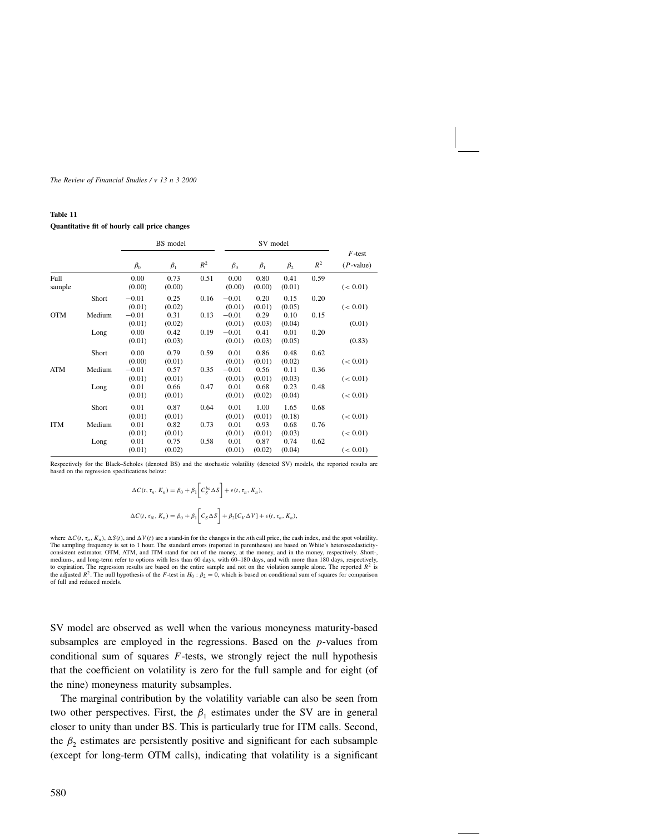| Table 11                                      |  |
|-----------------------------------------------|--|
| Quantitative fit of hourly call price changes |  |

|            |        | BS model  |           | SV model |           |           |           |       |             |
|------------|--------|-----------|-----------|----------|-----------|-----------|-----------|-------|-------------|
|            |        |           |           |          |           |           |           |       | $F$ -test   |
|            |        | $\beta_0$ | $\beta_1$ | $R^2$    | $\beta_0$ | $\beta_1$ | $\beta_2$ | $R^2$ | $(P-value)$ |
| Full       |        | 0.00      | 0.73      | 0.51     | 0.00      | 0.80      | 0.41      | 0.59  |             |
| sample     |        | (0.00)    | (0.00)    |          | (0.00)    | (0.00)    | (0.01)    |       | (< 0.01)    |
|            | Short  | $-0.01$   | 0.25      | 0.16     | $-0.01$   | 0.20      | 0.15      | 0.20  |             |
|            |        | (0.01)    | (0.02)    |          | (0.01)    | (0.01)    | (0.05)    |       | (< 0.01)    |
| <b>OTM</b> | Medium | $-0.01$   | 0.31      | 0.13     | $-0.01$   | 0.29      | 0.10      | 0.15  |             |
|            |        | (0.01)    | (0.02)    |          | (0.01)    | (0.03)    | (0.04)    |       | (0.01)      |
|            | Long   | 0.00      | 0.42      | 0.19     | $-0.01$   | 0.41      | 0.01      | 0.20  |             |
|            |        | (0.01)    | (0.03)    |          | (0.01)    | (0.03)    | (0.05)    |       | (0.83)      |
|            | Short  | 0.00      | 0.79      | 0.59     | 0.01      | 0.86      | 0.48      | 0.62  |             |
|            |        | (0.00)    | (0.01)    |          | (0.01)    | (0.01)    | (0.02)    |       | (< 0.01)    |
| ATM        | Medium | $-0.01$   | 0.57      | 0.35     | $-0.01$   | 0.56      | 0.11      | 0.36  |             |
|            |        | (0.01)    | (0.01)    |          | (0.01)    | (0.01)    | (0.03)    |       | (< 0.01)    |
|            | Long   | 0.01      | 0.66      | 0.47     | 0.01      | 0.68      | 0.23      | 0.48  |             |
|            |        | (0.01)    | (0.01)    |          | (0.01)    | (0.02)    | (0.04)    |       | (< 0.01)    |
|            | Short  | 0.01      | 0.87      | 0.64     | 0.01      | 1.00      | 1.65      | 0.68  |             |
|            |        | (0.01)    | (0.01)    |          | (0.01)    | (0.01)    | (0.18)    |       | (< 0.01)    |
| <b>ITM</b> | Medium | 0.01      | 0.82      | 0.73     | 0.01      | 0.93      | 0.68      | 0.76  |             |
|            |        | (0.01)    | (0.01)    |          | (0.01)    | (0.01)    | (0.03)    |       | (< 0.01)    |
|            | Long   | 0.01      | 0.75      | 0.58     | 0.01      | 0.87      | 0.74      | 0.62  |             |
|            |        | (0.01)    | (0.02)    |          | (0.01)    | (0.02)    | (0.04)    |       | (< 0.01)    |

Respectively for the Black–Scholes (denoted BS) and the stochastic volatility (denoted SV) models, the reported results are based on the regression specifications below:

$$
\Delta C(t, \tau_n, K_n) = \beta_0 + \beta_1 \bigg[ C_S^{bs} \Delta S \bigg] + \epsilon(t, \tau_n, K_n),
$$
  

$$
\Delta C(t, \tau_N, K_n) = \beta_0 + \beta_1 \bigg[ C_S \Delta S \bigg] + \beta_2 [C_V \Delta V] + \epsilon(t, \tau_n, K_n),
$$

where  $\Delta C(t, \tau_n, K_n)$ ,  $\Delta S(t)$ , and  $\Delta V(t)$  are a stand-in for the changes in the *n*th call price, the cash index, and the spot volatility. The sampling frequency is set to 1 hour. The standard errors (reported in parentheses) are based on White's heteroscedasticityconsistent estimator. OTM, ATM, and ITM stand for out of the money, at the money, and in the money, respectively. Short-, medium-, and long-term refer to options with less than 60 days, with 60-180 days, and with more than 180 days, respectively, to expiration. The regression results are based on the entire sample and not on the violation sample alone. The reported  $R^2$  is the adjusted  $R^2$ . The null hypothesis of the F-test in  $H_0: \beta_2 = 0$ , which is based on conditional sum of squares for comparison of full and reduced models.

SV model are observed as well when the various moneyness maturity-based subsamples are employed in the regressions. Based on the p-values from conditional sum of squares  $F$ -tests, we strongly reject the null hypothesis that the coefficient on volatility is zero for the full sample and for eight (of the nine) moneyness maturity subsamples.

The marginal contribution by the volatility variable can also be seen from two other perspectives. First, the  $\beta_1$  estimates under the SV are in general closer to unity than under BS. This is particularly true for ITM calls. Second, the  $\beta_2$  estimates are persistently positive and significant for each subsample (except for long-term OTM calls), indicating that volatility is a significant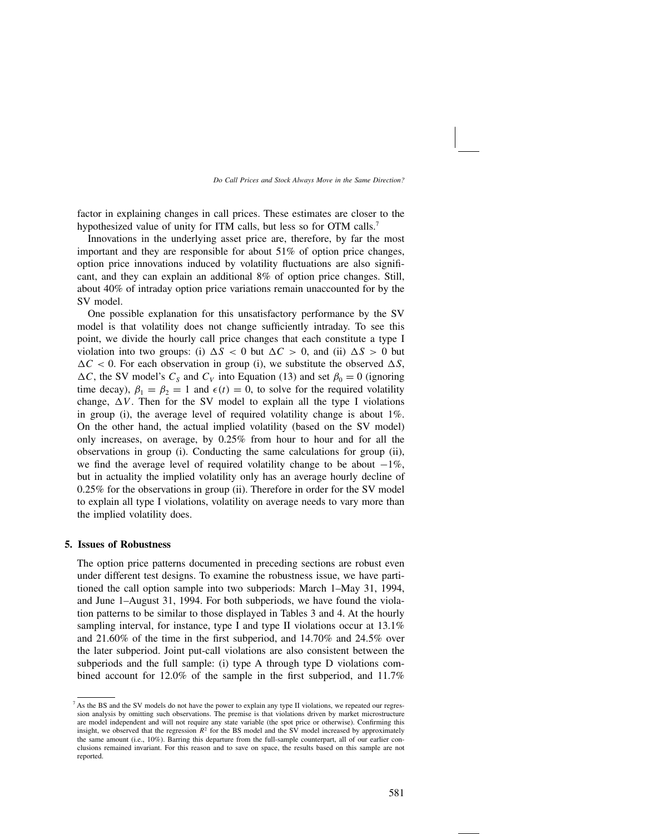factor in explaining changes in call prices. These estimates are closer to the hypothesized value of unity for ITM calls, but less so for OTM calls.<sup>7</sup>

Innovations in the underlying asset price are, therefore, by far the most important and they are responsible for about 51% of option price changes, option price innovations induced by volatility fluctuations are also significant, and they can explain an additional 8% of option price changes. Still, about 40% of intraday option price variations remain unaccounted for by the SV model.

One possible explanation for this unsatisfactory performance by the SV model is that volatility does not change sufficiently intraday. To see this point, we divide the hourly call price changes that each constitute a type I violation into two groups: (i)  $\Delta S < 0$  but  $\Delta C > 0$ , and (ii)  $\Delta S > 0$  but  $\Delta C$  < 0. For each observation in group (i), we substitute the observed  $\Delta S$ ,  $\Delta C$ , the SV model's  $C_s$  and  $C_V$  into Equation (13) and set  $\beta_0 = 0$  (ignoring time decay),  $\beta_1 = \beta_2 = 1$  and  $\epsilon(t) = 0$ , to solve for the required volatility change,  $\Delta V$ . Then for the SV model to explain all the type I violations in group (i), the average level of required volatility change is about 1%. On the other hand, the actual implied volatility (based on the SV model) only increases, on average, by 0.25% from hour to hour and for all the observations in group (i). Conducting the same calculations for group (ii), we find the average level of required volatility change to be about  $-1\%$ , but in actuality the implied volatility only has an average hourly decline of 0.25% for the observations in group (ii). Therefore in order for the SV model to explain all type I violations, volatility on average needs to vary more than the implied volatility does.

### **5. Issues of Robustness**

The option price patterns documented in preceding sections are robust even under different test designs. To examine the robustness issue, we have partitioned the call option sample into two subperiods: March 1–May 31, 1994, and June 1–August 31, 1994. For both subperiods, we have found the violation patterns to be similar to those displayed in Tables 3 and 4. At the hourly sampling interval, for instance, type I and type II violations occur at 13.1% and 21.60% of the time in the first subperiod, and 14.70% and 24.5% over the later subperiod. Joint put-call violations are also consistent between the subperiods and the full sample: (i) type A through type D violations combined account for 12.0% of the sample in the first subperiod, and 11.7%

 $<sup>7</sup>$  As the BS and the SV models do not have the power to explain any type II violations, we repeated our regres-</sup> sion analysis by omitting such observations. The premise is that violations driven by market microstructure are model independent and will not require any state variable (the spot price or otherwise). Confirming this insight, we observed that the regression  $R<sup>2</sup>$  for the BS model and the SV model increased by approximately the same amount (i.e., 10%). Barring this departure from the full-sample counterpart, all of our earlier conclusions remained invariant. For this reason and to save on space, the results based on this sample are not reported.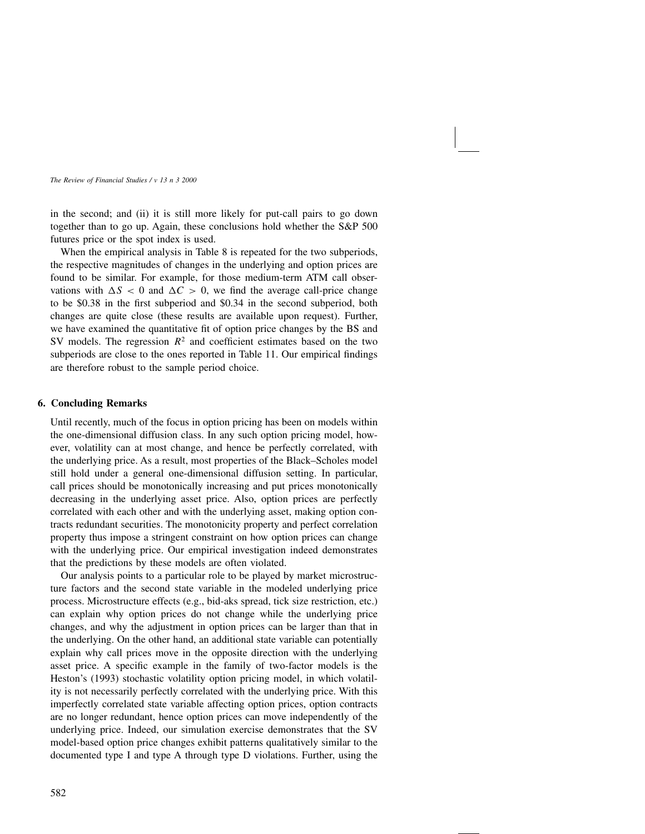in the second; and (ii) it is still more likely for put-call pairs to go down together than to go up. Again, these conclusions hold whether the S&P 500 futures price or the spot index is used.

When the empirical analysis in Table 8 is repeated for the two subperiods, the respective magnitudes of changes in the underlying and option prices are found to be similar. For example, for those medium-term ATM call observations with  $\Delta S < 0$  and  $\Delta C > 0$ , we find the average call-price change to be \$0.38 in the first subperiod and \$0.34 in the second subperiod, both changes are quite close (these results are available upon request). Further, we have examined the quantitative fit of option price changes by the BS and SV models. The regression  $R^2$  and coefficient estimates based on the two subperiods are close to the ones reported in Table 11. Our empirical findings are therefore robust to the sample period choice.

## **6. Concluding Remarks**

Until recently, much of the focus in option pricing has been on models within the one-dimensional diffusion class. In any such option pricing model, however, volatility can at most change, and hence be perfectly correlated, with the underlying price. As a result, most properties of the Black–Scholes model still hold under a general one-dimensional diffusion setting. In particular, call prices should be monotonically increasing and put prices monotonically decreasing in the underlying asset price. Also, option prices are perfectly correlated with each other and with the underlying asset, making option contracts redundant securities. The monotonicity property and perfect correlation property thus impose a stringent constraint on how option prices can change with the underlying price. Our empirical investigation indeed demonstrates that the predictions by these models are often violated.

Our analysis points to a particular role to be played by market microstructure factors and the second state variable in the modeled underlying price process. Microstructure effects (e.g., bid-aks spread, tick size restriction, etc.) can explain why option prices do not change while the underlying price changes, and why the adjustment in option prices can be larger than that in the underlying. On the other hand, an additional state variable can potentially explain why call prices move in the opposite direction with the underlying asset price. A specific example in the family of two-factor models is the Heston's (1993) stochastic volatility option pricing model, in which volatility is not necessarily perfectly correlated with the underlying price. With this imperfectly correlated state variable affecting option prices, option contracts are no longer redundant, hence option prices can move independently of the underlying price. Indeed, our simulation exercise demonstrates that the SV model-based option price changes exhibit patterns qualitatively similar to the documented type I and type A through type D violations. Further, using the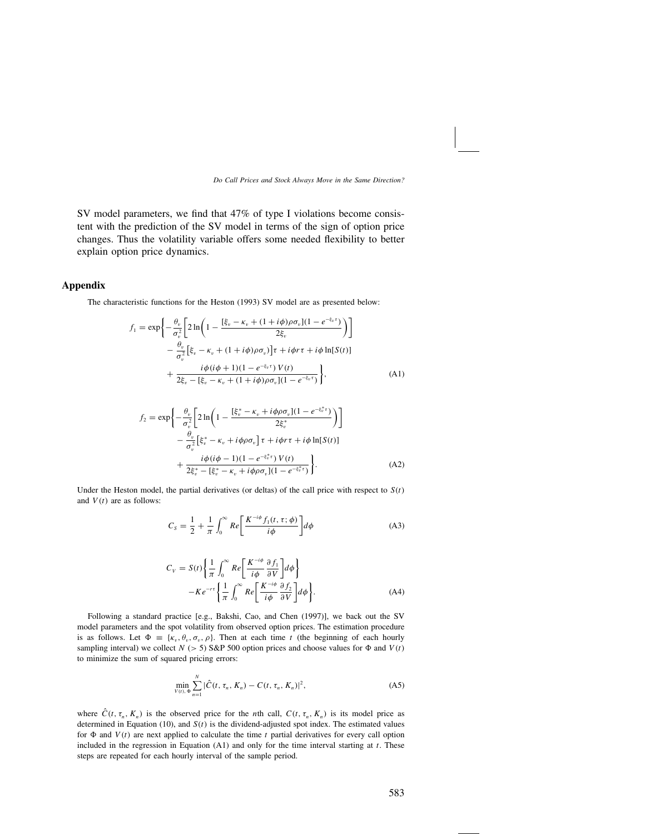SV model parameters, we find that 47% of type I violations become consistent with the prediction of the SV model in terms of the sign of option price changes. Thus the volatility variable offers some needed flexibility to better explain option price dynamics.

#### **Appendix**

The characteristic functions for the Heston (1993) SV model are as presented below:

$$
f_{1} = \exp\left\{-\frac{\theta_{v}}{\sigma_{v}^{2}} \left[2\ln\left(1 - \frac{[\xi_{v} - \kappa_{v} + (1 + i\phi)\rho\sigma_{v}](1 - e^{-\xi_{v}\tau})}{2\xi_{v}}\right)\right] - \frac{\theta_{v}}{\sigma_{v}^{2}} [\xi_{v} - \kappa_{v} + (1 + i\phi)\rho\sigma_{v})] \tau + i\phi r\tau + i\phi \ln[S(t)] + \frac{i\phi(i\phi + 1)(1 - e^{-\xi_{v}\tau}) V(t)}{2\xi_{v} - [\xi_{v} - \kappa_{v} + (1 + i\phi)\rho\sigma_{v}](1 - e^{-\xi_{v}\tau})}\right\},
$$
(A1)

$$
f_2 = \exp\left\{-\frac{\theta_v}{\sigma_v^2} \left[2\ln\left(1 - \frac{[\xi_v^* - \kappa_v + i\phi\rho\sigma_v](1 - e^{-\xi_v^* \tau})}{2\xi_v^*}\right)\right] - \frac{\theta_v}{\sigma_v^2} \left[\xi_v^* - \kappa_v + i\phi\rho\sigma_v\right] \tau + i\phi r \tau + i\phi \ln[S(t)] + \frac{i\phi(i\phi - 1)(1 - e^{-\xi_v^* \tau}) V(t)}{2\xi_v^* - [\xi_v^* - \kappa_v + i\phi\rho\sigma_v](1 - e^{-\xi_v^* \tau})}\right\}.
$$
\n(A2)

Under the Heston model, the partial derivatives (or deltas) of the call price with respect to  $S(t)$ and  $V(t)$  are as follows:

$$
C_{S} = \frac{1}{2} + \frac{1}{\pi} \int_{0}^{\infty} Re \left[ \frac{K^{-i\phi} f_{1}(t, \tau; \phi)}{i\phi} \right] d\phi
$$
 (A3)

$$
C_V = S(t) \left\{ \frac{1}{\pi} \int_0^\infty Re \left[ \frac{K^{-i\phi}}{i\phi} \frac{\partial f_1}{\partial V} \right] d\phi \right\}
$$

$$
-Ke^{-r\tau} \left\{ \frac{1}{\pi} \int_0^\infty Re \left[ \frac{K^{-i\phi}}{i\phi} \frac{\partial f_2}{\partial V} \right] d\phi \right\}.
$$
(A4)

Following a standard practice [e.g., Bakshi, Cao, and Chen (1997)], we back out the SV model parameters and the spot volatility from observed option prices. The estimation procedure is as follows. Let  $\Phi = \{ \kappa_v, \theta_v, \sigma_v, \rho \}$ . Then at each time t (the beginning of each hourly sampling interval) we collect  $N$  (> 5) S&P 500 option prices and choose values for  $\Phi$  and  $V(t)$ to minimize the sum of squared pricing errors:

$$
\min_{V(t),\Phi} \sum_{n=1}^{N} |\hat{C}(t,\tau_n, K_n) - C(t,\tau_n, K_n)|^2,
$$
\n(A5)

where  $\hat{C}(t, \tau_n, K_n)$  is the observed price for the *n*th call,  $C(t, \tau_n, K_n)$  is its model price as determined in Equation (10), and  $S(t)$  is the dividend-adjusted spot index. The estimated values for  $\Phi$  and  $V(t)$  are next applied to calculate the time t partial derivatives for every call option included in the regression in Equation  $(A1)$  and only for the time interval starting at t. These steps are repeated for each hourly interval of the sample period.